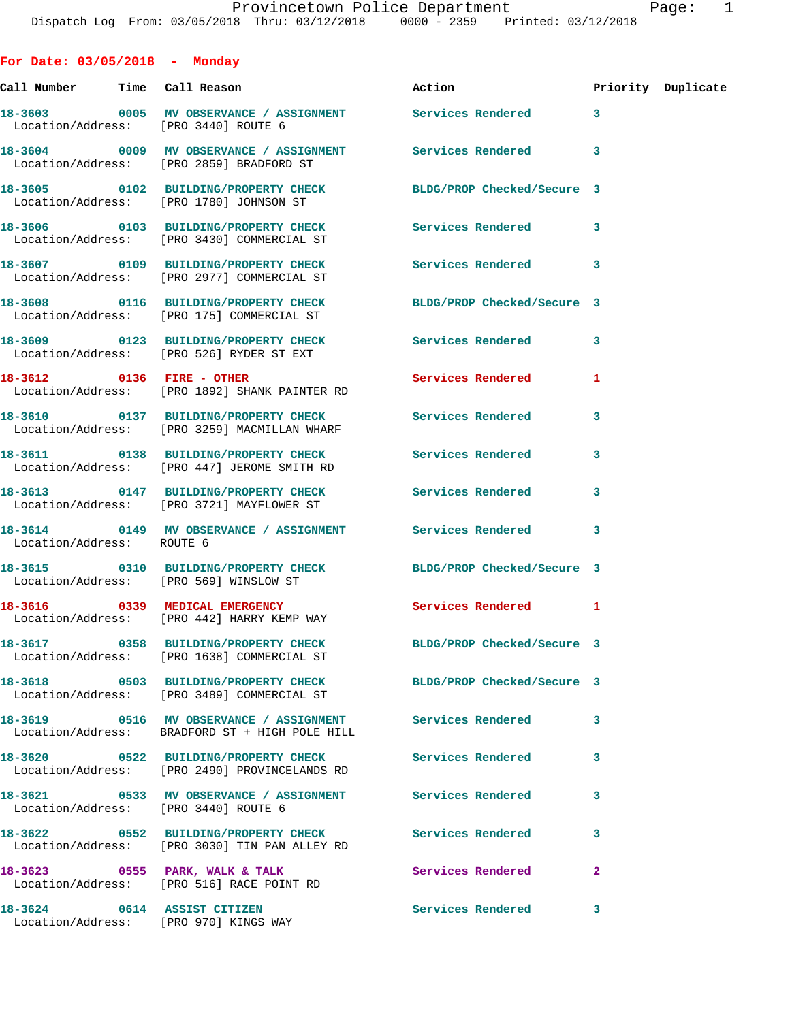**For Date: 03/05/2018 - Monday Call Number Time Call Reason Action Priority Duplicate 18-3603 0005 MV OBSERVANCE / ASSIGNMENT Services Rendered 3**  Location/Address: [PRO 3440] ROUTE 6 **18-3604 0009 MV OBSERVANCE / ASSIGNMENT Services Rendered 3**  Location/Address: [PRO 2859] BRADFORD ST **18-3605 0102 BUILDING/PROPERTY CHECK BLDG/PROP Checked/Secure 3**  Location/Address: [PRO 1780] JOHNSON ST **18-3606 0103 BUILDING/PROPERTY CHECK Services Rendered 3**  Location/Address: [PRO 3430] COMMERCIAL ST **18-3607 0109 BUILDING/PROPERTY CHECK Services Rendered 3**  Location/Address: [PRO 2977] COMMERCIAL ST **18-3608 0116 BUILDING/PROPERTY CHECK BLDG/PROP Checked/Secure 3**  Location/Address: [PRO 175] COMMERCIAL ST **18-3609 0123 BUILDING/PROPERTY CHECK Services Rendered 3**  Location/Address: [PRO 526] RYDER ST EXT **18-3612** 0136 FIRE - OTHER Services Rendered 1 Location/Address: [PRO 1892] SHANK PAINTER RD **18-3610 0137 BUILDING/PROPERTY CHECK Services Rendered 3**  Location/Address: [PRO 3259] MACMILLAN WHARF **18-3611 0138 BUILDING/PROPERTY CHECK Services Rendered 3**  Location/Address: [PRO 447] JEROME SMITH RD **18-3613 0147 BUILDING/PROPERTY CHECK Services Rendered 3**  Location/Address: [PRO 3721] MAYFLOWER ST **18-3614 0149 MV OBSERVANCE / ASSIGNMENT Services Rendered 3**  Location/Address: ROUTE 6 **18-3615 0310 BUILDING/PROPERTY CHECK BLDG/PROP Checked/Secure 3**  Location/Address: [PRO 569] WINSLOW ST 18-3616 0339 MEDICAL EMERGENCY Services Rendered 1 Location/Address: [PRO 442] HARRY KEMP WAY **18-3617 0358 BUILDING/PROPERTY CHECK BLDG/PROP Checked/Secure 3**  Location/Address: [PRO 1638] COMMERCIAL ST **18-3618 0503 BUILDING/PROPERTY CHECK BLDG/PROP Checked/Secure 3**  Location/Address: [PRO 3489] COMMERCIAL ST **18-3619 0516 MV OBSERVANCE / ASSIGNMENT Services Rendered 3**  Location/Address: BRADFORD ST + HIGH POLE HILL **18-3620 0522 BUILDING/PROPERTY CHECK Services Rendered 3**  Location/Address: [PRO 2490] PROVINCELANDS RD **18-3621 0533 MV OBSERVANCE / ASSIGNMENT Services Rendered 3**  Location/Address: [PRO 3440] ROUTE 6 **18-3622 0552 BUILDING/PROPERTY CHECK Services Rendered 3**  Location/Address: [PRO 3030] TIN PAN ALLEY RD

**18-3623 0555 PARK, WALK & TALK Services Rendered 2**  Location/Address: [PRO 516] RACE POINT RD

**18-3624 0614 ASSIST CITIZEN Services Rendered 3**  Location/Address: [PRO 970] KINGS WAY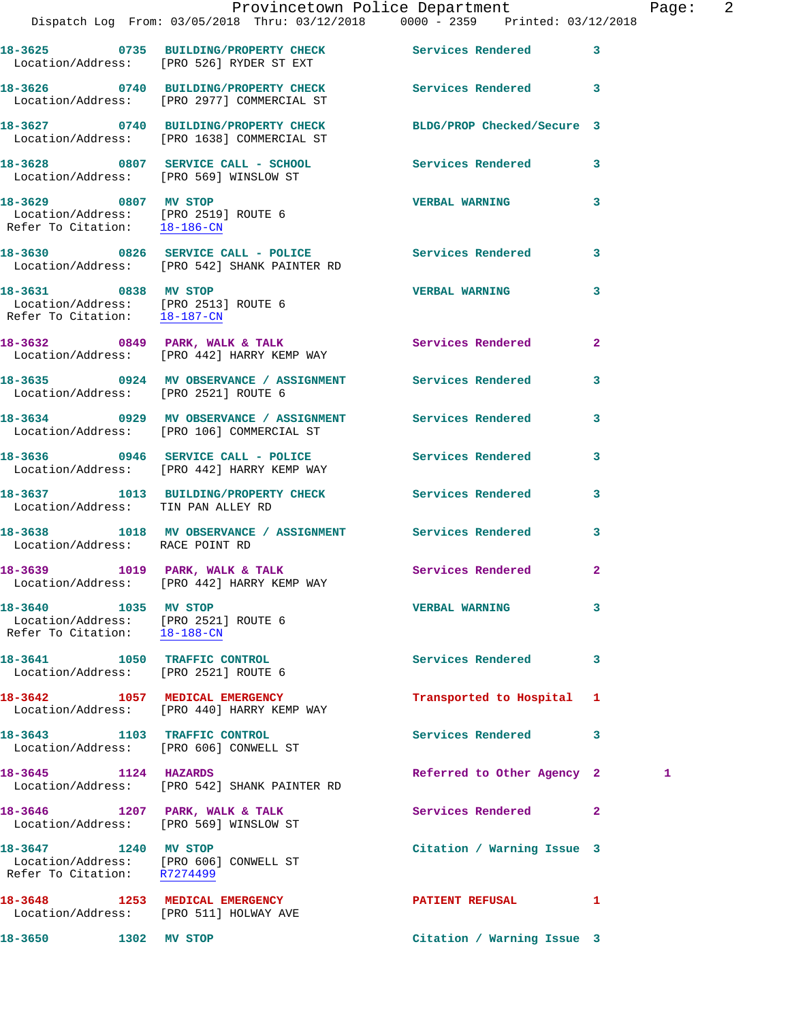|                                                                                                           | Provincetown Police Department<br>Dispatch Log From: 03/05/2018 Thru: 03/12/2018 0000 - 2359 Printed: 03/12/2018 |                            | Pag          |
|-----------------------------------------------------------------------------------------------------------|------------------------------------------------------------------------------------------------------------------|----------------------------|--------------|
|                                                                                                           | 18-3625 0735 BUILDING/PROPERTY CHECK Services Rendered<br>Location/Address: [PRO 526] RYDER ST EXT               |                            | 3            |
|                                                                                                           | 18-3626 0740 BUILDING/PROPERTY CHECK<br>Location/Address: [PRO 2977] COMMERCIAL ST                               | Services Rendered          | 3            |
|                                                                                                           | 18-3627 0740 BUILDING/PROPERTY CHECK BLDG/PROP Checked/Secure 3<br>Location/Address: [PRO 1638] COMMERCIAL ST    |                            |              |
|                                                                                                           | 18-3628 0807 SERVICE CALL - SCHOOL<br>Location/Address: [PRO 569] WINSLOW ST                                     | Services Rendered          | 3            |
| 18-3629 0807 MV STOP                                                                                      | Location/Address: [PRO 2519] ROUTE 6<br>Refer To Citation: 18-186-CN                                             | <b>VERBAL WARNING</b>      | 3            |
|                                                                                                           | 18-3630 0826 SERVICE CALL - POLICE Services Rendered<br>Location/Address: [PRO 542] SHANK PAINTER RD             |                            | 3            |
| 18-3631 0838 MV STOP<br>Location/Address: [PRO 2513] ROUTE 6<br>Refer To Citation: 18-187-CN              |                                                                                                                  | <b>VERBAL WARNING</b>      | 3            |
|                                                                                                           | 18-3632      0849   PARK, WALK & TALK<br>Location/Address:   [PRO 442] HARRY KEMP WAY                            | Services Rendered          | $\mathbf{2}$ |
| Location/Address: [PRO 2521] ROUTE 6                                                                      | 18-3635 0924 MV OBSERVANCE / ASSIGNMENT Services Rendered                                                        |                            | 3            |
|                                                                                                           | 18-3634 0929 MV OBSERVANCE / ASSIGNMENT Services Rendered<br>Location/Address: [PRO 106] COMMERCIAL ST           |                            | 3            |
|                                                                                                           | 18-3636 0946 SERVICE CALL - POLICE 30 Services Rendered<br>Location/Address: [PRO 442] HARRY KEMP WAY            |                            | 3            |
| Location/Address: TIN PAN ALLEY RD                                                                        | 18-3637 1013 BUILDING/PROPERTY CHECK Services Rendered                                                           |                            | 3            |
| Location/Address: RACE POINT RD                                                                           | 18-3638 1018 MV OBSERVANCE / ASSIGNMENT Services Rendered                                                        |                            | 3            |
| 18-3639 1019 PARK, WALK & TALK                                                                            | Location/Address: [PRO 442] HARRY KEMP WAY                                                                       | Services Rendered          | 2            |
| 18-3640 1035 MV STOP<br>Location/Address: [PRO 2521] ROUTE 6<br>Refer To Citation: $\frac{18-188-CN}{\ }$ |                                                                                                                  | <b>VERBAL WARNING</b>      | 3            |
| 18-3641 1050 TRAFFIC CONTROL<br>Location/Address: [PRO 2521] ROUTE 6                                      |                                                                                                                  | <b>Services Rendered</b>   | 3            |
|                                                                                                           | 18-3642 1057 MEDICAL EMERGENCY<br>Location/Address: [PRO 440] HARRY KEMP WAY                                     | Transported to Hospital    | 1            |
| 18-3643 1103 TRAFFIC CONTROL<br>Location/Address: [PRO 606] CONWELL ST                                    |                                                                                                                  | Services Rendered          | 3            |
| 18-3645 1124 HAZARDS                                                                                      | Location/Address: [PRO 542] SHANK PAINTER RD                                                                     | Referred to Other Agency 2 | 1            |
| Location/Address: [PRO 569] WINSLOW ST                                                                    | 18-3646 1207 PARK, WALK & TALK                                                                                   | <b>Services Rendered</b>   | $\mathbf{2}$ |
| 18-3647 1240 MV STOP<br>Location/Address: [PRO 606] CONWELL ST<br>Refer To Citation: R7274499             |                                                                                                                  | Citation / Warning Issue 3 |              |
| Location/Address: [PRO 511] HOLWAY AVE                                                                    | 18-3648 1253 MEDICAL EMERGENCY                                                                                   | PATIENT REFUSAL            | 1            |
| 18-3650 1302 MV STOP                                                                                      |                                                                                                                  | Citation / Warning Issue 3 |              |

Page: 2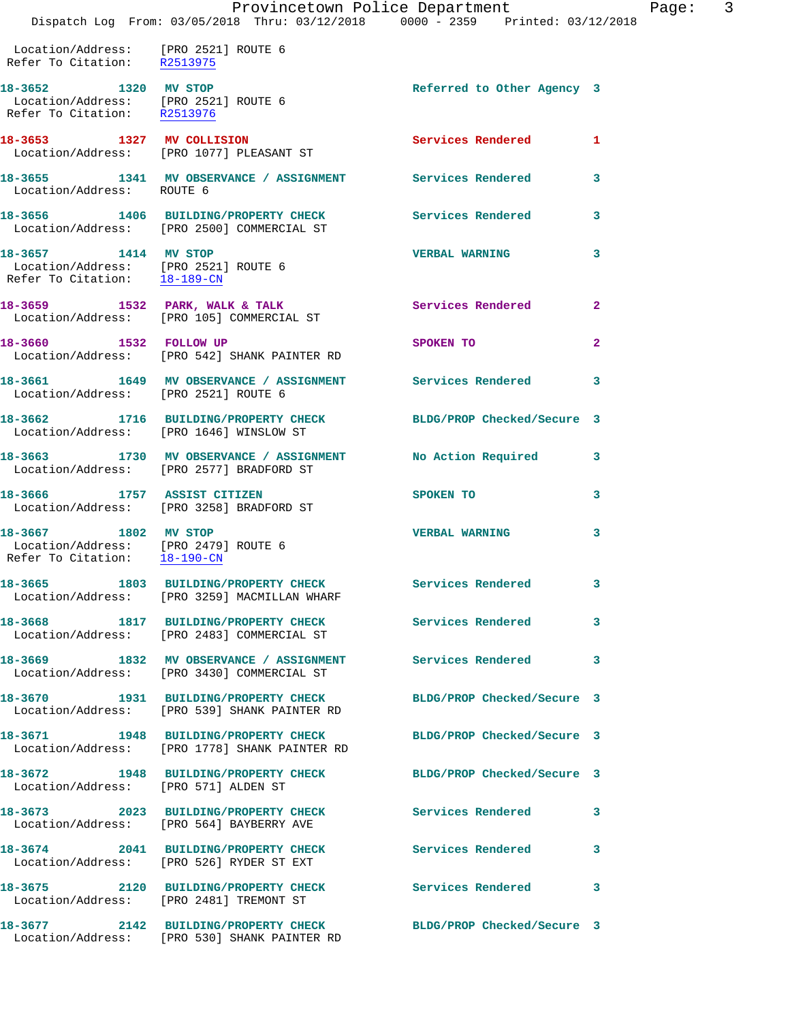|                                                |  |  | Provincetown Police Department |                     |
|------------------------------------------------|--|--|--------------------------------|---------------------|
| Dispatch Log From: 03/05/2018 Thru: 03/12/2018 |  |  | 0000 - 2359                    | Printed: 03/12/2018 |

Page: 3

 Location/Address: [PRO 2521] ROUTE 6 Refer To Citation: R2513975 18-3652 1320 MV STOP **Referred to Other Agency** 3 Location/Address: [PRO 2521] ROUTE 6 Refer To Citation: R2513976 **18-3653 1327 MV COLLISION Services Rendered 1**  Location/Address: [PRO 1077] PLEASANT ST **18-3655 1341 MV OBSERVANCE / ASSIGNMENT Services Rendered 3**  Location/Address: ROUTE 6 **18-3656 1406 BUILDING/PROPERTY CHECK Services Rendered 3**  Location/Address: [PRO 2500] COMMERCIAL ST **18-3657 1414 MV STOP VERBAL WARNING 3**  Location/Address: [PRO 2521] ROUTE 6 Refer To Citation: 18-189-CN **18-3659 1532 PARK, WALK & TALK Services Rendered 2**  Location/Address: [PRO 105] COMMERCIAL ST **18-3660 1532 FOLLOW UP SPOKEN TO 2**  Location/Address: [PRO 542] SHANK PAINTER RD **18-3661 1649 MV OBSERVANCE / ASSIGNMENT Services Rendered 3**  Location/Address: [PRO 2521] ROUTE 6 **18-3662 1716 BUILDING/PROPERTY CHECK BLDG/PROP Checked/Secure 3**  Location/Address: [PRO 1646] WINSLOW ST **18-3663 1730 MV OBSERVANCE / ASSIGNMENT No Action Required 3**  Location/Address: [PRO 2577] BRADFORD ST **18-3666 1757 ASSIST CITIZEN SPOKEN TO 3**  Location/Address: [PRO 3258] BRADFORD ST **18-3667 1802 MV STOP VERBAL WARNING 3**  Location/Address: [PRO 2479] ROUTE 6<br>Refer To Citation: 18-190-CN Refer To Citation: **18-3665 1803 BUILDING/PROPERTY CHECK Services Rendered 3**  Location/Address: [PRO 3259] MACMILLAN WHARF **18-3668 1817 BUILDING/PROPERTY CHECK Services Rendered 3**  Location/Address: [PRO 2483] COMMERCIAL ST **18-3669 1832 MV OBSERVANCE / ASSIGNMENT Services Rendered 3**  Location/Address: [PRO 3430] COMMERCIAL ST **18-3670 1931 BUILDING/PROPERTY CHECK BLDG/PROP Checked/Secure 3**  Location/Address: [PRO 539] SHANK PAINTER RD **18-3671 1948 BUILDING/PROPERTY CHECK BLDG/PROP Checked/Secure 3**  Location/Address: [PRO 1778] SHANK PAINTER RD **18-3672 1948 BUILDING/PROPERTY CHECK BLDG/PROP Checked/Secure 3**  Location/Address: [PRO 571] ALDEN ST **18-3673 2023 BUILDING/PROPERTY CHECK Services Rendered 3**  Location/Address: [PRO 564] BAYBERRY AVE **18-3674 2041 BUILDING/PROPERTY CHECK Services Rendered 3**  Location/Address: [PRO 526] RYDER ST EXT **18-3675 2120 BUILDING/PROPERTY CHECK Services Rendered 3**  Location/Address: [PRO 2481] TREMONT ST **18-3677 2142 BUILDING/PROPERTY CHECK BLDG/PROP Checked/Secure 3**  Location/Address: [PRO 530] SHANK PAINTER RD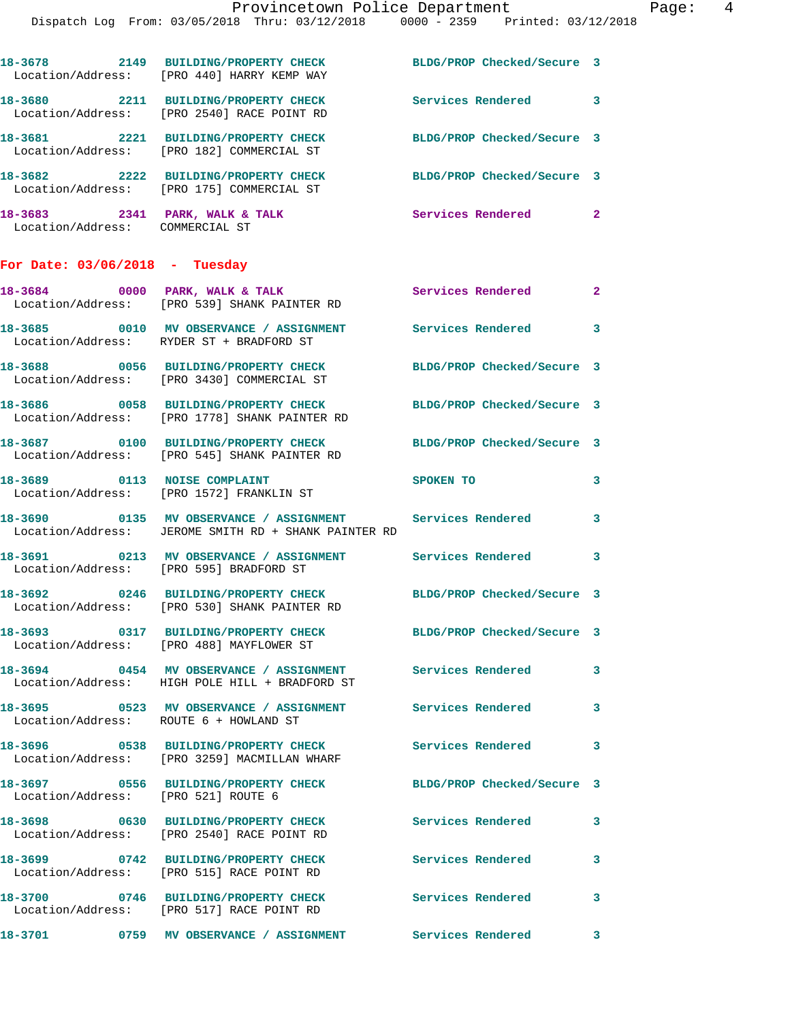|                                                                   | 18-3678 2149 BUILDING/PROPERTY CHECK<br>Location/Address: [PRO 440] HARRY KEMP WAY                                       | BLDG/PROP Checked/Secure 3  |              |
|-------------------------------------------------------------------|--------------------------------------------------------------------------------------------------------------------------|-----------------------------|--------------|
|                                                                   | 18-3680 2211 BUILDING/PROPERTY CHECK<br>Location/Address: [PRO 2540] RACE POINT RD                                       | Services Rendered 3         |              |
|                                                                   | 18-3681 2221 BUILDING/PROPERTY CHECK<br>Location/Address: [PRO 182] COMMERCIAL ST                                        | BLDG/PROP Checked/Secure 3  |              |
|                                                                   | 18-3682 2222 BUILDING/PROPERTY CHECK<br>Location/Address: [PRO 175] COMMERCIAL ST                                        | BLDG/PROP Checked/Secure 3  |              |
| 18-3683 2341 PARK, WALK & TALK<br>Location/Address: COMMERCIAL ST |                                                                                                                          | Services Rendered 2         |              |
| For Date: $03/06/2018$ - Tuesday                                  |                                                                                                                          |                             |              |
|                                                                   | 18-3684 0000 PARK, WALK & TALK<br>Location/Address: [PRO 539] SHANK PAINTER RD                                           | <b>Services Rendered 22</b> |              |
|                                                                   | 18-3685 0010 MV OBSERVANCE / ASSIGNMENT<br>Location/Address: RYDER ST + BRADFORD ST                                      | Services Rendered           | 3            |
|                                                                   | 18-3688 0056 BUILDING/PROPERTY CHECK<br>Location/Address: [PRO 3430] COMMERCIAL ST                                       | BLDG/PROP Checked/Secure 3  |              |
|                                                                   | 18-3686 0058 BUILDING/PROPERTY CHECK<br>Location/Address: [PRO 1778] SHANK PAINTER RD                                    | BLDG/PROP Checked/Secure 3  |              |
|                                                                   | 18-3687 0100 BUILDING/PROPERTY CHECK<br>Location/Address: [PRO 545] SHANK PAINTER RD                                     | BLDG/PROP Checked/Secure 3  |              |
|                                                                   | 18-3689 0113 NOISE COMPLAINT<br>Location/Address: [PRO 1572] FRANKLIN ST                                                 | SPOKEN TO                   | 3            |
|                                                                   | 18-3690 0135 MV OBSERVANCE / ASSIGNMENT Services Rendered<br>Location/Address: JEROME SMITH RD + SHANK PAINTER RD        |                             | 3            |
|                                                                   | 18-3691 0213 MV OBSERVANCE / ASSIGNMENT Services Rendered 3<br>Location/Address: [PRO 595] BRADFORD ST                   |                             |              |
|                                                                   | 18-3692 0246 BUILDING/PROPERTY CHECK BLDG/PROP Checked/Secure 3<br>Location/Address: [PRO 530] SHANK PAINTER RD          |                             |              |
|                                                                   | 18-3693 0317 BUILDING/PROPERTY CHECK<br>Location/Address: [PRO 488] MAYFLOWER ST                                         | BLDG/PROP Checked/Secure 3  |              |
|                                                                   | 18-3694       0454   MV OBSERVANCE / ASSIGNMENT      Services Rendered<br>Location/Address: HIGH POLE HILL + BRADFORD ST |                             | $\mathbf{3}$ |
| Location/Address: ROUTE 6 + HOWLAND ST                            | 18-3695 		 0523 MV OBSERVANCE / ASSIGNMENT Services Rendered                                                             |                             | 3            |
|                                                                   | 18-3696 6538 BUILDING/PROPERTY CHECK Services Rendered<br>Location/Address: [PRO 3259] MACMILLAN WHARF                   |                             | 3            |
| Location/Address: [PRO 521] ROUTE 6                               | 18-3697 0556 BUILDING/PROPERTY CHECK                                                                                     | BLDG/PROP Checked/Secure 3  |              |
|                                                                   | 18-3698 0630 BUILDING/PROPERTY CHECK<br>Location/Address: [PRO 2540] RACE POINT RD                                       | Services Rendered           | $\mathbf{3}$ |
|                                                                   | 18-3699 0742 BUILDING/PROPERTY CHECK<br>Location/Address: [PRO 515] RACE POINT RD                                        | <b>Services Rendered</b>    | 3            |
|                                                                   | 18-3700 0746 BUILDING/PROPERTY CHECK<br>Location/Address: [PRO 517] RACE POINT RD                                        | <b>Services Rendered</b>    | 3            |
|                                                                   | 18-3701 6759 MV OBSERVANCE / ASSIGNMENT Services Rendered                                                                |                             | 3            |
|                                                                   |                                                                                                                          |                             |              |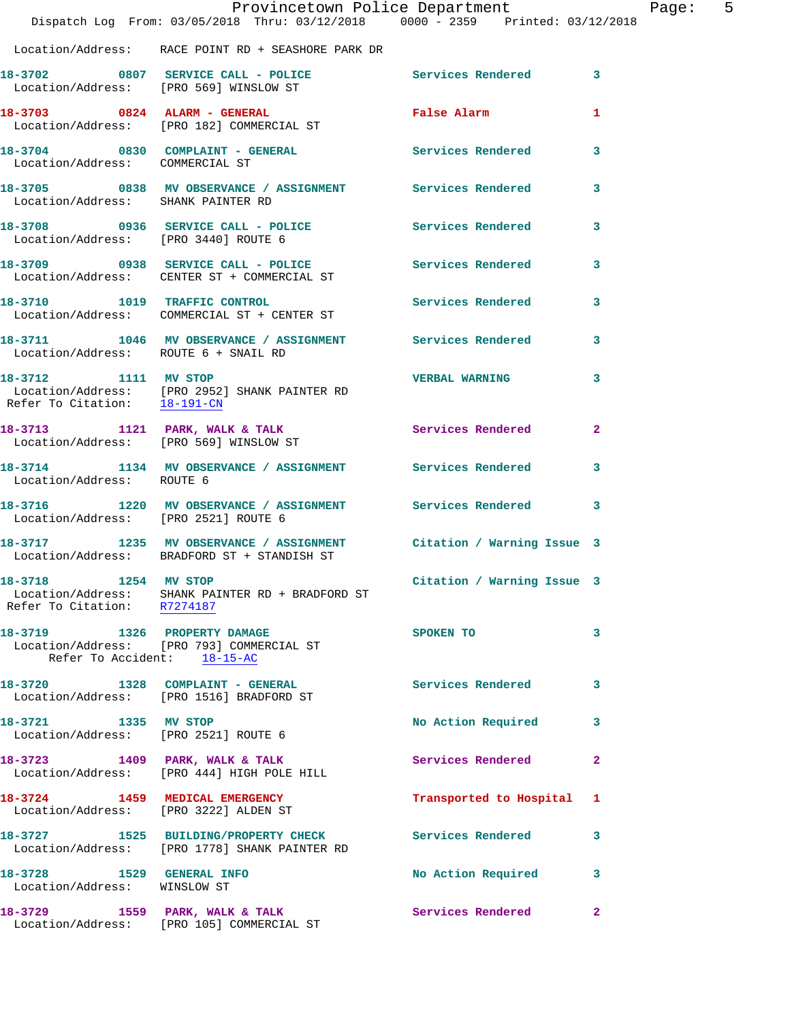|                                                              | Dispatch Log From: 03/05/2018 Thru: 03/12/2018 0000 - 2359 Printed: 03/12/2018                                    | Provincetown Police Department Page: 5 |              |
|--------------------------------------------------------------|-------------------------------------------------------------------------------------------------------------------|----------------------------------------|--------------|
|                                                              | Location/Address: RACE POINT RD + SEASHORE PARK DR                                                                |                                        |              |
|                                                              | 18-3702 0807 SERVICE CALL - POLICE Services Rendered 3<br>Location/Address: [PRO 569] WINSLOW ST                  |                                        |              |
|                                                              | 18-3703 0824 ALARM - GENERAL<br>Location/Address: [PRO 182] COMMERCIAL ST                                         | False Alarm <b>Example 2</b>           | 1            |
| Location/Address: COMMERCIAL ST                              | 18-3704 0830 COMPLAINT - GENERAL Services Rendered                                                                |                                        | $\mathbf{3}$ |
|                                                              | 18-3705 0838 MV OBSERVANCE / ASSIGNMENT Services Rendered<br>Location/Address: SHANK PAINTER RD                   |                                        | 3            |
| Location/Address: [PRO 3440] ROUTE 6                         | 18-3708 0936 SERVICE CALL - POLICE Services Rendered                                                              |                                        | 3            |
|                                                              | 18-3709 0938 SERVICE CALL - POLICE SERVICE Services Rendered 3<br>Location/Address: CENTER ST + COMMERCIAL ST     |                                        |              |
|                                                              | 18-3710 1019 TRAFFIC CONTROL<br>Location/Address: COMMERCIAL ST + CENTER ST                                       | <b>Services Rendered</b>               | 3            |
| Location/Address: ROUTE 6 + SNAIL RD                         | 18-3711 1046 MV OBSERVANCE / ASSIGNMENT Services Rendered 3                                                       |                                        |              |
| Refer To Citation: 18-191-CN                                 | 18-3712 1111 MV STOP<br>Location/Address: [PRO 2952] SHANK PAINTER RD                                             | <b>VERBAL WARNING</b>                  | 3            |
|                                                              | 18-3713 1121 PARK, WALK & TALK 1991 Services Rendered 2<br>Location/Address: [PRO 569] WINSLOW ST                 |                                        |              |
| Location/Address: ROUTE 6                                    | 18-3714 1134 MV OBSERVANCE / ASSIGNMENT Services Rendered                                                         |                                        | 3            |
| Location/Address: [PRO 2521] ROUTE 6                         | 18-3716 1220 MV OBSERVANCE / ASSIGNMENT Services Rendered 3                                                       |                                        |              |
|                                                              | 18-3717 1235 MV OBSERVANCE / ASSIGNMENT Citation / Warning Issue 3<br>Location/Address: BRADFORD ST + STANDISH ST |                                        |              |
| 18-3718 1254 MV STOP<br>Refer To Citation: R7274187          | Location/Address: SHANK PAINTER RD + BRADFORD ST                                                                  | Citation / Warning Issue 3             |              |
| Refer To Accident: 18-15-AC                                  | 18-3719 1326 PROPERTY DAMAGE<br>Location/Address: [PRO 793] COMMERCIAL ST                                         | SPOKEN TO                              | 3            |
|                                                              | 18-3720 1328 COMPLAINT - GENERAL<br>Location/Address: [PRO 1516] BRADFORD ST                                      | Services Rendered                      | 3            |
| 18-3721 1335 MV STOP<br>Location/Address: [PRO 2521] ROUTE 6 |                                                                                                                   | No Action Required                     | 3            |
|                                                              | 18-3723 1409 PARK, WALK & TALK<br>Location/Address: [PRO 444] HIGH POLE HILL                                      | Services Rendered                      | $\mathbf{2}$ |
|                                                              | 18-3724 1459 MEDICAL EMERGENCY<br>Location/Address: [PRO 3222] ALDEN ST                                           | Transported to Hospital 1              |              |
|                                                              | 18-3727 1525 BUILDING/PROPERTY CHECK<br>Location/Address: [PRO 1778] SHANK PAINTER RD                             | Services Rendered                      | 3            |
| 18-3728 1529 GENERAL INFO<br>Location/Address: WINSLOW ST    |                                                                                                                   | No Action Required                     | 3            |
|                                                              | 18-3729 1559 PARK, WALK & TALK<br>Location/Address: [PRO 105] COMMERCIAL ST                                       | Services Rendered                      | $\mathbf{2}$ |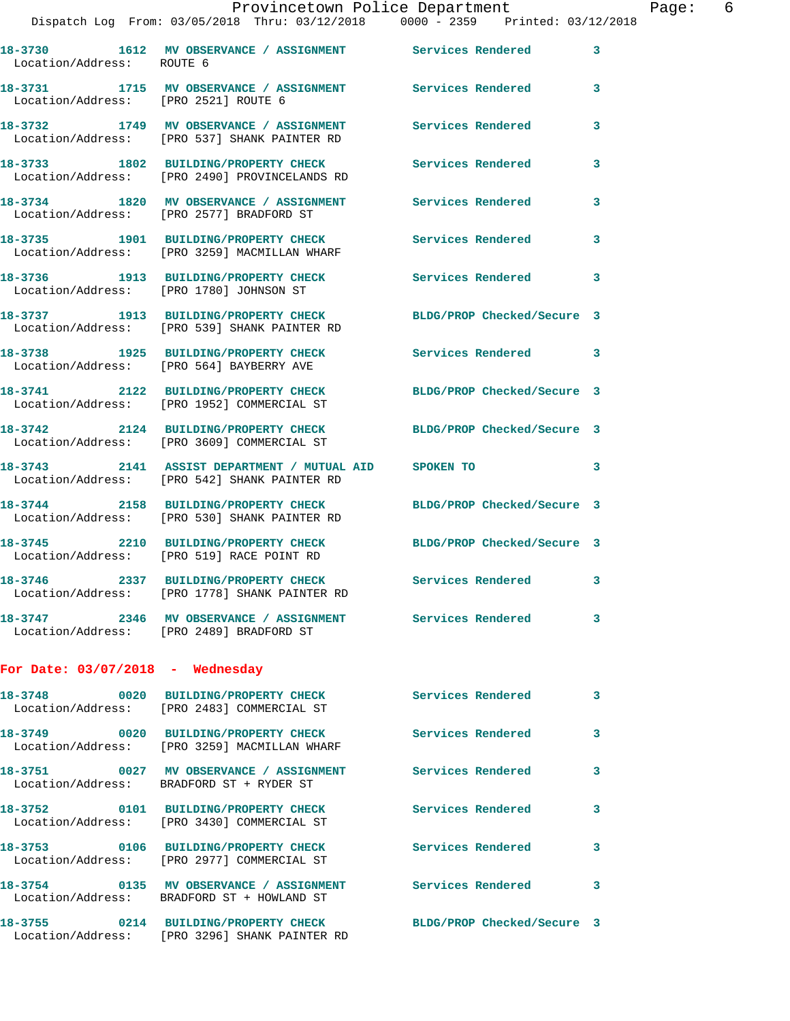| Location/Address: ROUTE 6               | 18-3730 1612 MV OBSERVANCE / ASSIGNMENT Services Rendered                                                        |                            | 3                       |
|-----------------------------------------|------------------------------------------------------------------------------------------------------------------|----------------------------|-------------------------|
| Location/Address: [PRO 2521] ROUTE 6    | 18-3731 1715 MV OBSERVANCE / ASSIGNMENT                                                                          | Services Rendered          | 3                       |
|                                         | 18-3732 1749 MV OBSERVANCE / ASSIGNMENT<br>Location/Address: [PRO 537] SHANK PAINTER RD                          | Services Rendered          | 3                       |
|                                         | 18-3733 1802 BUILDING/PROPERTY CHECK<br>Location/Address: [PRO 2490] PROVINCELANDS RD                            | Services Rendered          | 3                       |
|                                         | 18-3734 1820 MV OBSERVANCE / ASSIGNMENT<br>Location/Address: [PRO 2577] BRADFORD ST                              | Services Rendered          | 3                       |
|                                         | 18-3735 1901 BUILDING/PROPERTY CHECK<br>Location/Address: [PRO 3259] MACMILLAN WHARF                             | Services Rendered          | 3                       |
| Location/Address: [PRO 1780] JOHNSON ST | 18-3736 1913 BUILDING/PROPERTY CHECK                                                                             | <b>Services Rendered</b>   | 3                       |
|                                         | 18-3737 1913 BUILDING/PROPERTY CHECK<br>Location/Address: [PRO 539] SHANK PAINTER RD                             | BLDG/PROP Checked/Secure 3 |                         |
|                                         | 18-3738 1925 BUILDING/PROPERTY CHECK<br>Location/Address: [PRO 564] BAYBERRY AVE                                 | Services Rendered          | 3                       |
|                                         | 18-3741 2122 BUILDING/PROPERTY CHECK<br>Location/Address: [PRO 1952] COMMERCIAL ST                               | BLDG/PROP Checked/Secure 3 |                         |
| 18-3742                                 | 2124 BUILDING/PROPERTY CHECK<br>Location/Address: [PRO 3609] COMMERCIAL ST                                       | BLDG/PROP Checked/Secure 3 |                         |
|                                         | 18-3743 2141 ASSIST DEPARTMENT / MUTUAL AID<br>Location/Address: [PRO 542] SHANK PAINTER RD                      | SPOKEN TO                  | 3                       |
|                                         | 18-3744 2158 BUILDING/PROPERTY CHECK<br>Location/Address: [PRO 530] SHANK PAINTER RD                             | BLDG/PROP Checked/Secure 3 |                         |
|                                         | 18-3745 2210 BUILDING/PROPERTY CHECK<br>Location/Address: [PRO 519] RACE POINT RD                                | BLDG/PROP Checked/Secure 3 |                         |
|                                         | 18-3746 2337 BUILDING/PROPERTY CHECK<br>Location/Address: [PRO 1778] SHANK PAINTER RD                            | Services Rendered          | 3                       |
|                                         | 18-3747 2346 MV OBSERVANCE / ASSIGNMENT Services Rendered<br>Location/Address: [PRO 2489] BRADFORD ST            |                            | 3                       |
| For Date: $03/07/2018$ - Wednesday      |                                                                                                                  |                            |                         |
|                                         | 18-3748 0020 BUILDING/PROPERTY CHECK Services Rendered<br>Location/Address: [PRO 2483] COMMERCIAL ST             |                            | $\overline{\mathbf{3}}$ |
|                                         | 18-3749 0020 BUILDING/PROPERTY CHECK<br>Location/Address: [PRO 3259] MACMILLAN WHARF                             | <b>Services Rendered</b>   | 3                       |
|                                         | 18-3751 0027 MV OBSERVANCE / ASSIGNMENT<br>Location/Address: BRADFORD ST + RYDER ST                              | <b>Services Rendered</b>   | 3                       |
|                                         | 18-3752 0101 BUILDING/PROPERTY CHECK<br>Location/Address: [PRO 3430] COMMERCIAL ST                               | Services Rendered          | 3                       |
|                                         | 18-3753 0106 BUILDING/PROPERTY CHECK<br>Location/Address: [PRO 2977] COMMERCIAL ST                               | Services Rendered          | 3                       |
| 18-3754                                 | 0135 MV OBSERVANCE / ASSIGNMENT Services Rendered<br>Location/Address: BRADFORD ST + HOWLAND ST                  |                            | 3                       |
|                                         | 18-3755 0214 BUILDING/PROPERTY CHECK BLDG/PROP Checked/Secure 3<br>Location/Address: [PRO 3296] SHANK PAINTER RD |                            |                         |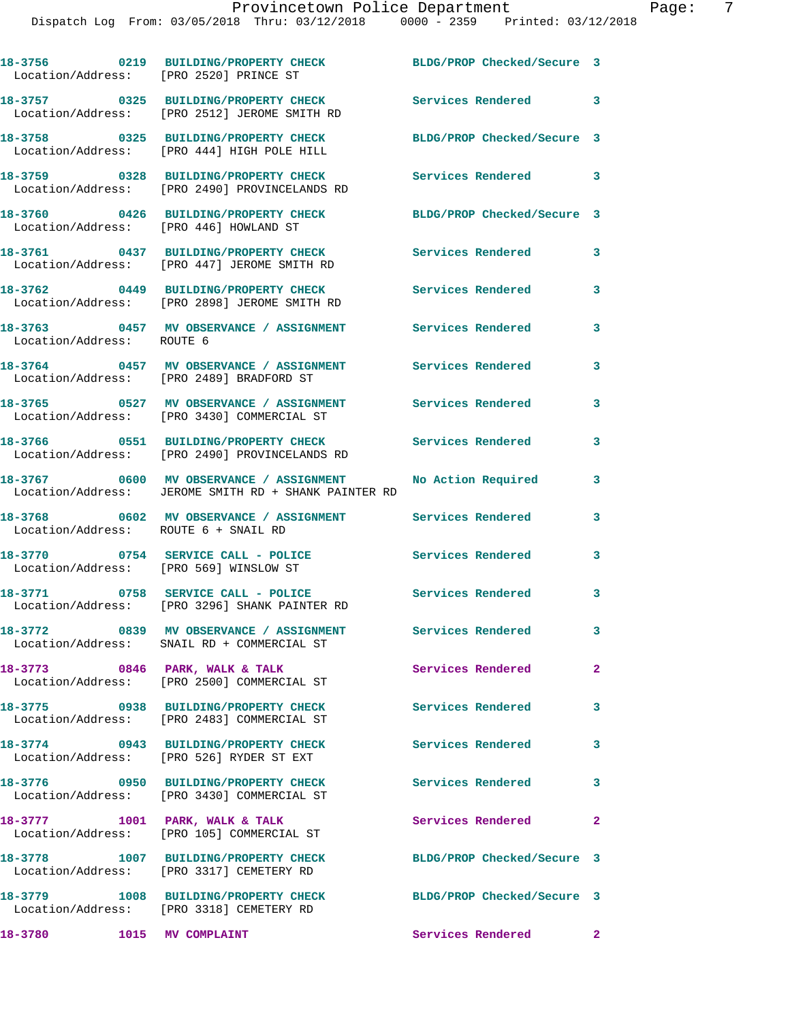|                                      | 18-3756 0219 BUILDING/PROPERTY CHECK BLDG/PROP Checked/Secure 3<br>Location/Address: [PRO 2520] PRINCE ST                      |                            |                            |
|--------------------------------------|--------------------------------------------------------------------------------------------------------------------------------|----------------------------|----------------------------|
|                                      | 18-3757 0325 BUILDING/PROPERTY CHECK<br>Location/Address: [PRO 2512] JEROME SMITH RD                                           | Services Rendered 3        |                            |
|                                      | 18-3758 0325 BUILDING/PROPERTY CHECK<br>Location/Address: [PRO 444] HIGH POLE HILL                                             | BLDG/PROP Checked/Secure 3 |                            |
|                                      | 18-3759 0328 BUILDING/PROPERTY CHECK<br>Location/Address: [PRO 2490] PROVINCELANDS RD                                          | <b>Services Rendered</b> 3 |                            |
|                                      | 18-3760 0426 BUILDING/PROPERTY CHECK<br>Location/Address: [PRO 446] HOWLAND ST                                                 | BLDG/PROP Checked/Secure 3 |                            |
|                                      | 18-3761 0437 BUILDING/PROPERTY CHECK Services Rendered 3<br>Location/Address: [PRO 447] JEROME SMITH RD                        |                            |                            |
|                                      | 18-3762 0449 BUILDING/PROPERTY CHECK<br>Location/Address: [PRO 2898] JEROME SMITH RD                                           | <b>Services Rendered</b>   | 3                          |
| Location/Address: ROUTE 6            | 18-3763 0457 MV OBSERVANCE / ASSIGNMENT Services Rendered                                                                      |                            | 3                          |
|                                      | 18-3764 0457 MV OBSERVANCE / ASSIGNMENT<br>Location/Address: [PRO 2489] BRADFORD ST                                            | <b>Services Rendered</b>   | 3                          |
|                                      | 18-3765 0527 MV OBSERVANCE / ASSIGNMENT Services Rendered<br>Location/Address: [PRO 3430] COMMERCIAL ST                        |                            | 3                          |
|                                      | 18-3766 0551 BUILDING/PROPERTY CHECK<br>Location/Address: [PRO 2490] PROVINCELANDS RD                                          | <b>Services Rendered</b>   | 3                          |
|                                      | 18-3767 0600 MV OBSERVANCE / ASSIGNMENT<br>Location/Address: JEROME SMITH RD + SHANK PAINTER RD                                | No Action Required         | 3                          |
| Location/Address: ROUTE 6 + SNAIL RD | 18-3768 0602 MV OBSERVANCE / ASSIGNMENT Services Rendered                                                                      |                            | 3                          |
|                                      | 18-3770 0754 SERVICE CALL - POLICE<br>Location/Address: [PRO 569] WINSLOW ST                                                   | Services Rendered          | 3                          |
|                                      | 18-3771 0758 SERVICE CALL - POLICE<br>Location/Address: [PRO 3296] SHANK PAINTER RD                                            | <b>Services Rendered</b>   | $\mathbf{3}$               |
|                                      | 18-3772 0839 MV OBSERVANCE / ASSIGNMENT Services Rendered<br>Location/Address: SNAIL RD + COMMERCIAL ST                        |                            | 3                          |
|                                      | 18-3773 0846 PARK, WALK & TALK<br>Location/Address: [PRO 2500] COMMERCIAL ST                                                   | Services Rendered          | $\mathbf{2}$               |
|                                      | 18-3775 0938 BUILDING/PROPERTY CHECK                                                                                           | Services Rendered 3        |                            |
|                                      | Location/Address: [PRO 2483] COMMERCIAL ST<br>18-3774 0943 BUILDING/PROPERTY CHECK<br>Location/Address: [PRO 526] RYDER ST EXT | <b>Services Rendered</b>   | $\mathbf{3}$               |
|                                      | 18-3776 0950 BUILDING/PROPERTY CHECK                                                                                           | Services Rendered 3        |                            |
|                                      | Location/Address: [PRO 3430] COMMERCIAL ST<br>18-3777 1001 PARK, WALK & TALK                                                   | Services Rendered          | $\overline{\phantom{0}}$ 2 |
|                                      | Location/Address: [PRO 105] COMMERCIAL ST<br>18-3778 1007 BUILDING/PROPERTY CHECK                                              | BLDG/PROP Checked/Secure 3 |                            |
|                                      | Location/Address: [PRO 3317] CEMETERY RD<br>18-3779 1008 BUILDING/PROPERTY CHECK                                               | BLDG/PROP Checked/Secure 3 |                            |
| 18-3780 1015 MV COMPLAINT            | Location/Address: [PRO 3318] CEMETERY RD                                                                                       | Services Rendered 2        |                            |
|                                      |                                                                                                                                |                            |                            |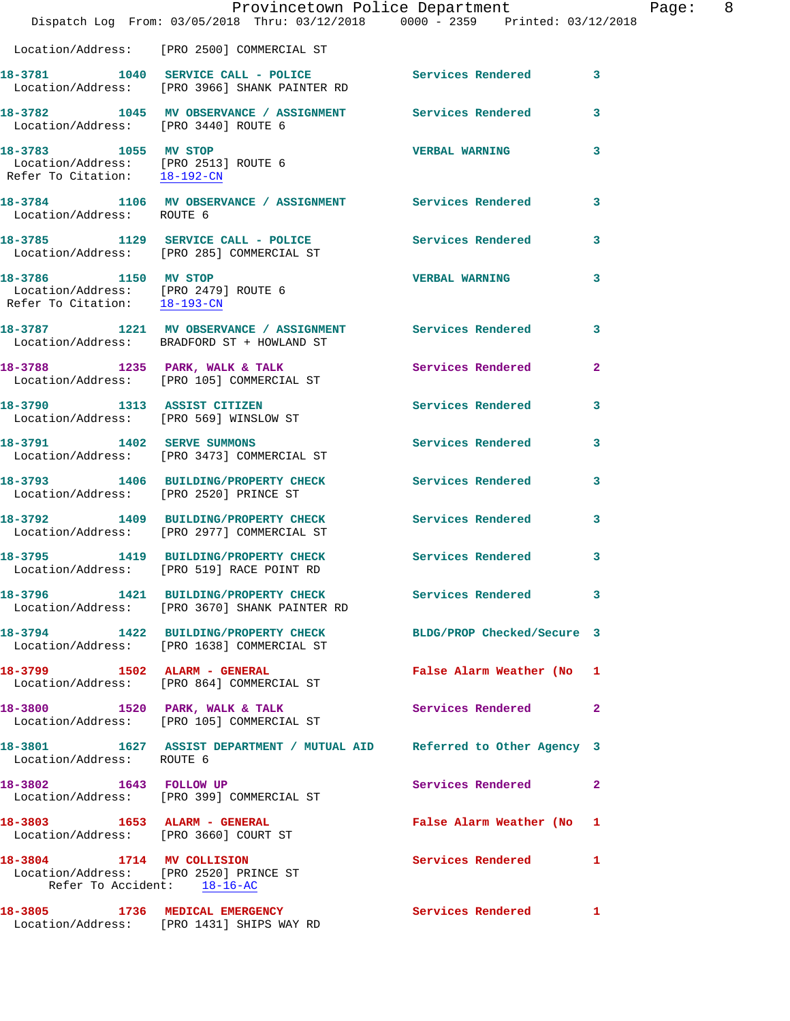|                                      | Dispatch Log From: 03/05/2018 Thru: 03/12/2018 0000 - 2359 Printed: 03/12/2018                                | Provincetown Police Department | Page: 8      |
|--------------------------------------|---------------------------------------------------------------------------------------------------------------|--------------------------------|--------------|
|                                      | Location/Address: [PRO 2500] COMMERCIAL ST                                                                    |                                |              |
|                                      | 18-3781 1040 SERVICE CALL - POLICE Services Rendered 3<br>Location/Address: [PRO 3966] SHANK PAINTER RD       |                                |              |
| Location/Address: [PRO 3440] ROUTE 6 | 18-3782 1045 MV OBSERVANCE / ASSIGNMENT Services Rendered 3                                                   |                                |              |
| 18-3783 1055 MV STOP                 | Location/Address: [PRO 2513] ROUTE 6<br>Refer To Citation: $\frac{18-192-CN}{\ }$                             | <b>VERBAL WARNING</b>          | 3            |
| Location/Address: ROUTE 6            | 18-3784 1106 MV OBSERVANCE / ASSIGNMENT Services Rendered 3                                                   |                                |              |
|                                      | 18-3785 1129 SERVICE CALL - POLICE Services Rendered<br>Location/Address: [PRO 285] COMMERCIAL ST             |                                | $\mathbf{3}$ |
| 18-3786 1150 MV STOP                 | Location/Address: [PRO 2479] ROUTE 6<br>Refer To Citation: $\frac{18-193-CM}{18}$                             | <b>VERBAL WARNING</b>          | 3            |
|                                      | 18-3787 1221 MV OBSERVANCE / ASSIGNMENT Services Rendered<br>Location/Address: BRADFORD ST + HOWLAND ST       |                                | 3            |
|                                      | 18-3788 1235 PARK, WALK & TALK 1999 Services Rendered<br>Location/Address: [PRO 105] COMMERCIAL ST            |                                | $\mathbf{2}$ |
|                                      | 18-3790 1313 ASSIST CITIZEN<br>Location/Address: [PRO 569] WINSLOW ST                                         | Services Rendered 3            |              |
| 18-3791 1402 SERVE SUMMONS           | Location/Address: [PRO 3473] COMMERCIAL ST                                                                    | Services Rendered 3            |              |
|                                      | 18-3793 1406 BUILDING/PROPERTY CHECK Services Rendered 3<br>Location/Address: [PRO 2520] PRINCE ST            |                                |              |
|                                      | 18-3792 1409 BUILDING/PROPERTY CHECK Services Rendered<br>Location/Address: [PRO 2977] COMMERCIAL ST          |                                | 3            |
|                                      | 18-3795 1419 BUILDING/PROPERTY CHECK Services Rendered<br>Location/Address: [PRO 519] RACE POINT RD           |                                | 3            |
|                                      | 18-3796 1421 BUILDING/PROPERTY CHECK Services Rendered 3<br>Location/Address: [PRO 3670] SHANK PAINTER RD     |                                |              |
|                                      | 18-3794 1422 BUILDING/PROPERTY CHECK BLDG/PROP Checked/Secure 3<br>Location/Address: [PRO 1638] COMMERCIAL ST |                                |              |
|                                      | 18-3799 1502 ALARM - GENERAL<br>Location/Address: [PRO 864] COMMERCIAL ST                                     | False Alarm Weather (No 1      |              |
|                                      | 18-3800 1520 PARK, WALK & TALK<br>Location/Address: [PRO 105] COMMERCIAL ST                                   | Services Rendered 2            |              |
| Location/Address: ROUTE 6            | 18-3801 1627 ASSIST DEPARTMENT / MUTUAL AID Referred to Other Agency 3                                        |                                |              |
| 18-3802 1643 FOLLOW UP               | Location/Address: [PRO 399] COMMERCIAL ST                                                                     | Services Rendered              | $\mathbf{2}$ |
|                                      | 18-3803 1653 ALARM - GENERAL<br>Location/Address: [PRO 3660] COURT ST                                         | False Alarm Weather (No 1      |              |
|                                      | 18-3804 1714 MV COLLISION<br>Location/Address: [PRO 2520] PRINCE ST<br>Refer To Accident: 18-16-AC            | Services Rendered 1            |              |
|                                      | 18-3805 1736 MEDICAL EMERGENCY<br>Location/Address: [PRO 1431] SHIPS WAY RD                                   | Services Rendered 1            |              |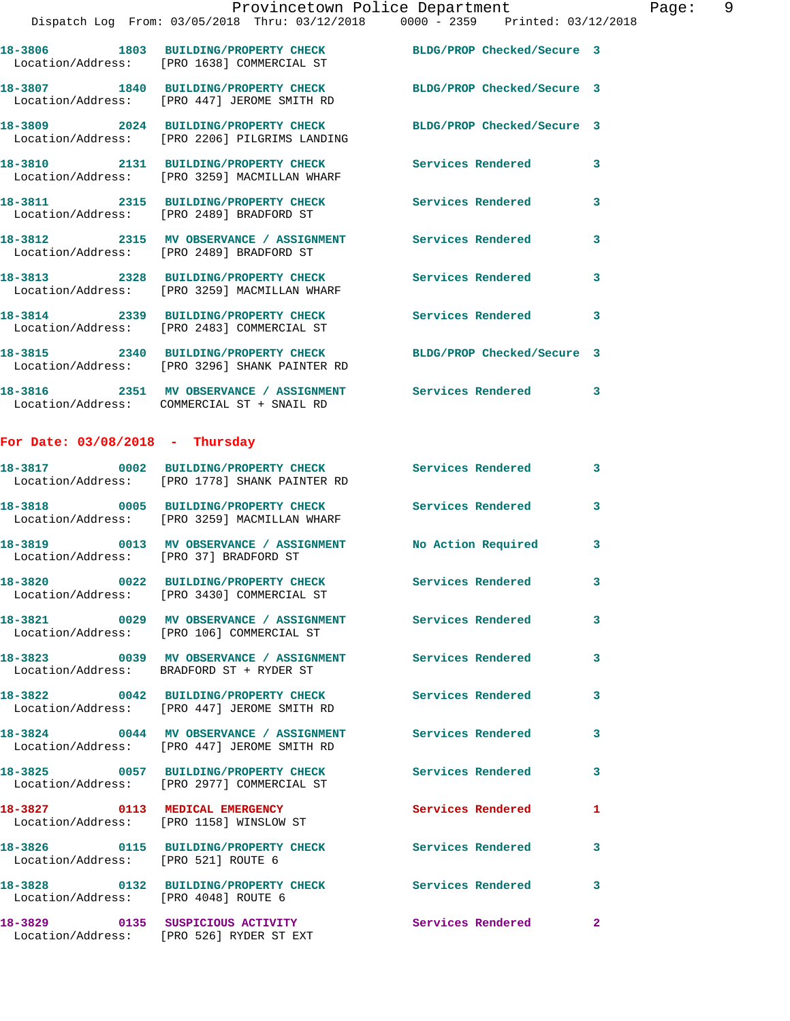|                                        | Dispatch Log From: 03/05/2018 Thru: 03/12/2018 0000 - 2359 Printed: 03/12/2018                                   |                            |   |
|----------------------------------------|------------------------------------------------------------------------------------------------------------------|----------------------------|---|
|                                        | 18-3806 1803 BUILDING/PROPERTY CHECK<br>Location/Address: [PRO 1638] COMMERCIAL ST                               | BLDG/PROP Checked/Secure 3 |   |
|                                        | 18-3807 1840 BUILDING/PROPERTY CHECK<br>Location/Address: [PRO 447] JEROME SMITH RD                              | BLDG/PROP Checked/Secure 3 |   |
|                                        | 18-3809 2024 BUILDING/PROPERTY CHECK<br>Location/Address: [PRO 2206] PILGRIMS LANDING                            | BLDG/PROP Checked/Secure 3 |   |
|                                        | 18-3810 2131 BUILDING/PROPERTY CHECK<br>Location/Address: [PRO 3259] MACMILLAN WHARF                             | <b>Services Rendered</b>   | 3 |
|                                        | 18-3811 2315 BUILDING/PROPERTY CHECK<br>Location/Address: [PRO 2489] BRADFORD ST                                 | <b>Services Rendered</b>   | 3 |
|                                        | 18-3812 2315 MV OBSERVANCE / ASSIGNMENT<br>Location/Address: [PRO 2489] BRADFORD ST                              | <b>Services Rendered</b>   | 3 |
|                                        | 18-3813 2328 BUILDING/PROPERTY CHECK<br>Location/Address: [PRO 3259] MACMILLAN WHARF                             | <b>Services Rendered</b>   | 3 |
|                                        | 18-3814 2339 BUILDING/PROPERTY CHECK<br>Location/Address: [PRO 2483] COMMERCIAL ST                               | <b>Services Rendered</b>   | 3 |
|                                        | 18-3815 2340 BUILDING/PROPERTY CHECK BLDG/PROP Checked/Secure 3<br>Location/Address: [PRO 3296] SHANK PAINTER RD |                            |   |
|                                        | 18-3816 		 2351 MV OBSERVANCE / ASSIGNMENT Services Rendered<br>Location/Address: COMMERCIAL ST + SNAIL RD       |                            | 3 |
| For Date: $03/08/2018$ - Thursday      |                                                                                                                  |                            |   |
|                                        | 18-3817 0002 BUILDING/PROPERTY CHECK Services Rendered<br>Location/Address: [PRO 1778] SHANK PAINTER RD          |                            | 3 |
|                                        | 18-3818 0005 BUILDING/PROPERTY CHECK<br>Location/Address: [PRO 3259] MACMILLAN WHARF                             | <b>Services Rendered</b>   | 3 |
| Location/Address: [PRO 37] BRADFORD ST | 18-3819 0013 MV OBSERVANCE / ASSIGNMENT No Action Required                                                       |                            | 3 |
|                                        | 18-3820 0022 BUILDING/PROPERTY CHECK Services Rendered<br>Location/Address: [PRO 3430] COMMERCIAL ST             |                            | 3 |
|                                        | 18-3821 0029 MV OBSERVANCE / ASSIGNMENT<br>Location/Address: [PRO 106] COMMERCIAL ST                             | <b>Services Rendered</b>   | 3 |
|                                        | 18-3823 0039 MV OBSERVANCE / ASSIGNMENT<br>Location/Address: BRADFORD ST + RYDER ST                              | <b>Services Rendered</b>   | 3 |
|                                        | 18-3822 0042 BUILDING/PROPERTY CHECK<br>Location/Address: [PRO 447] JEROME SMITH RD                              | Services Rendered          | 3 |
|                                        |                                                                                                                  |                            |   |

Location/Address: [PRO 1158] WINSLOW ST

Location/Address: [PRO 447] JEROME SMITH RD

Location/Address: [PRO 2977] COMMERCIAL ST

Location/Address: [PRO 521] ROUTE 6

**18-3828 0132 BUILDING/PROPERTY CHECK Services Rendered 3**  Location/Address: [PRO 4048] ROUTE 6

Location/Address: [PRO 526] RYDER ST EXT

**18-3824 0044 MV OBSERVANCE / ASSIGNMENT Services Rendered 3 18-3825 0057 BUILDING/PROPERTY CHECK Services Rendered 3 18-3827 0113 MEDICAL EMERGENCY Services Rendered 1** 

**18-3826 0115 BUILDING/PROPERTY CHECK Services Rendered 3** 

**18-3829 0135 SUSPICIOUS ACTIVITY Services Rendered 2**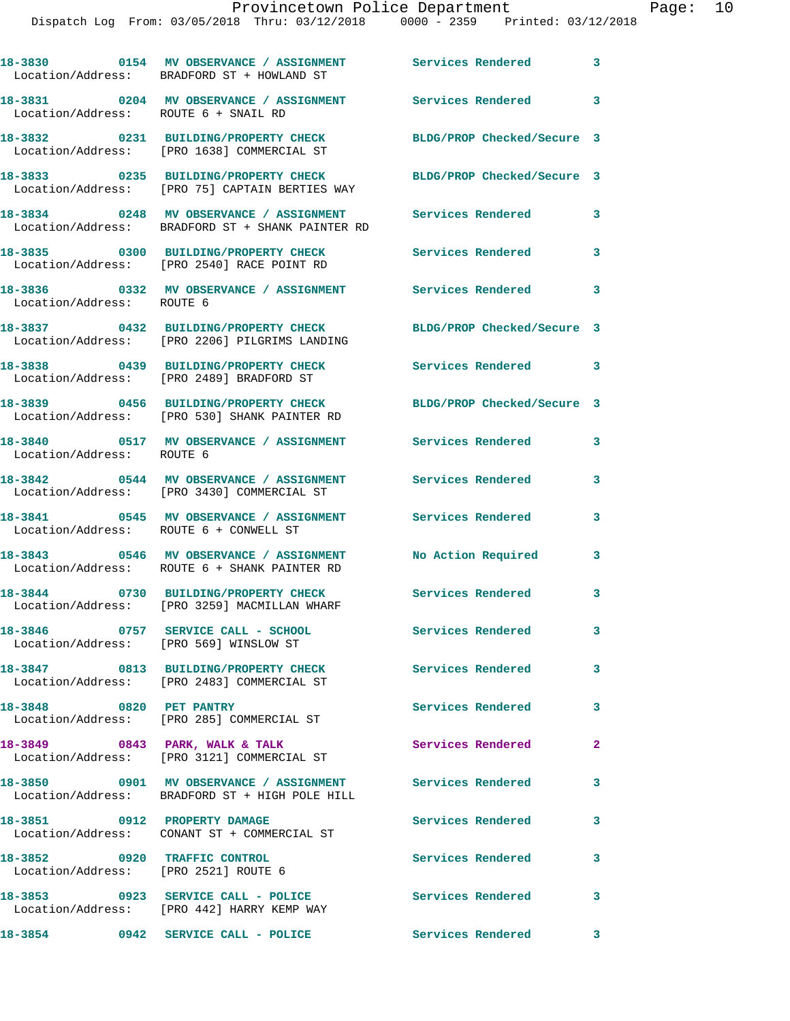|                                                                      | 18-3830 0154 MV OBSERVANCE / ASSIGNMENT<br>Location/Address: BRADFORD ST + HOWLAND ST              | Services Rendered                                      | 3              |
|----------------------------------------------------------------------|----------------------------------------------------------------------------------------------------|--------------------------------------------------------|----------------|
| Location/Address: ROUTE 6 + SNAIL RD                                 | 18-3831 0204 MV OBSERVANCE / ASSIGNMENT Services Rendered                                          |                                                        | 3              |
|                                                                      | 18-3832 0231 BUILDING/PROPERTY CHECK<br>Location/Address: [PRO 1638] COMMERCIAL ST                 | BLDG/PROP Checked/Secure 3                             |                |
|                                                                      | 18-3833 0235 BUILDING/PROPERTY CHECK<br>Location/Address: [PRO 75] CAPTAIN BERTIES WAY             | BLDG/PROP Checked/Secure 3                             |                |
|                                                                      | 18-3834 0248 MV OBSERVANCE / ASSIGNMENT<br>Location/Address: BRADFORD ST + SHANK PAINTER RD        | Services Rendered                                      | 3              |
|                                                                      | 18-3835 0300 BUILDING/PROPERTY CHECK<br>Location/Address: [PRO 2540] RACE POINT RD                 | <b>Services Rendered</b>                               | 3              |
| Location/Address: ROUTE 6                                            | 18-3836 6 0332 MV OBSERVANCE / ASSIGNMENT Services Rendered                                        |                                                        | 3              |
|                                                                      | 18-3837 0432 BUILDING/PROPERTY CHECK<br>Location/Address: [PRO 2206] PILGRIMS LANDING              | BLDG/PROP Checked/Secure 3                             |                |
|                                                                      | 18-3838 0439 BUILDING/PROPERTY CHECK<br>Location/Address: [PRO 2489] BRADFORD ST                   | Services Rendered 3                                    |                |
|                                                                      | 18-3839 0456 BUILDING/PROPERTY CHECK<br>Location/Address: [PRO 530] SHANK PAINTER RD               | BLDG/PROP Checked/Secure 3                             |                |
| Location/Address: ROUTE 6                                            |                                                                                                    |                                                        | 3              |
|                                                                      | 18-3842 0544 MV OBSERVANCE / ASSIGNMENT<br>Location/Address: [PRO 3430] COMMERCIAL ST              | <b>Services Rendered</b>                               | 3              |
| Location/Address: ROUTE 6 + CONWELL ST                               | 18-3841 0545 MV OBSERVANCE / ASSIGNMENT                                                            | Services Rendered                                      | 3              |
|                                                                      | 18-3843 0546 MV OBSERVANCE / ASSIGNMENT<br>Location/Address: ROUTE 6 + SHANK PAINTER RD            | No Action Required                                     | 3              |
|                                                                      | 18-3844 0730 BUILDING/PROPERTY CHECK<br>Location/Address: [PRO 3259] MACMILLAN WHARF               | Services Rendered                                      | 3              |
| Location/Address: [PRO 569] WINSLOW ST                               | 18-3846 0757 SERVICE CALL - SCHOOL                                                                 | <b>Services Rendered</b>                               | 3              |
|                                                                      | 18-3847 0813 BUILDING/PROPERTY CHECK<br>Location/Address: [PRO 2483] COMMERCIAL ST                 | <b>Services Rendered</b>                               | 3              |
| 18-3848 0820 PET PANTRY                                              | Location/Address: [PRO 285] COMMERCIAL ST                                                          | Services Rendered                                      | 3              |
| 18-3849 0843 PARK, WALK & TALK                                       | Location/Address: [PRO 3121] COMMERCIAL ST                                                         | Services Rendered                                      | $\overline{2}$ |
|                                                                      | 18-3850      0901   MV OBSERVANCE / ASSIGNMENT<br>Location/Address:   BRADFORD ST + HIGH POLE HILL | Services Rendered                                      | 3              |
| 18-3851 0912 PROPERTY DAMAGE                                         | Location/Address: CONANT ST + COMMERCIAL ST                                                        | Services Rendered                                      | 3              |
| 18-3852 0920 TRAFFIC CONTROL<br>Location/Address: [PRO 2521] ROUTE 6 |                                                                                                    | <b>Services Rendered</b>                               | 3              |
|                                                                      | 18-3853 0923 SERVICE CALL - POLICE<br>Location/Address: [PRO 442] HARRY KEMP WAY                   | Services Rendered                                      | $\mathbf{3}$   |
|                                                                      | 18-3854 0942 SERVICE CALL - POLICE                                                                 | <b>Services Rendered</b><br>$\overline{\phantom{a}}$ 3 |                |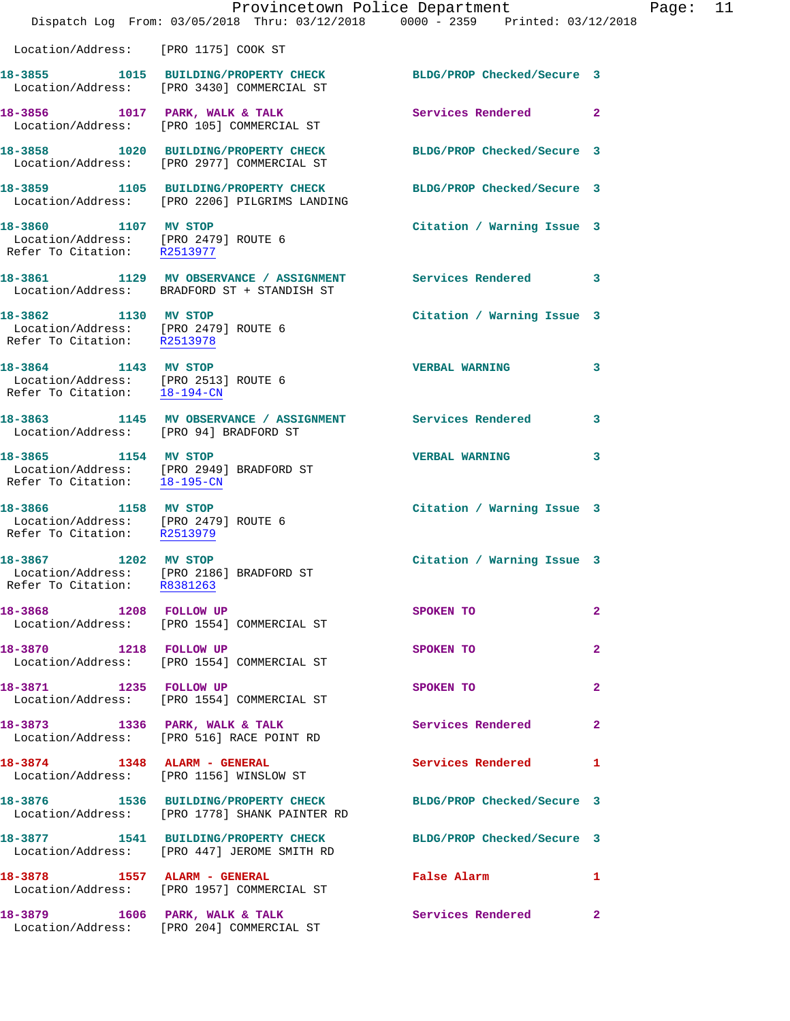|                                                                                              | Dispatch Log From: 03/05/2018 Thru: 03/12/2018 0000 - 2359 Printed: 03/12/2018                             | Provincetown Police Department |              | Page: | 11 |
|----------------------------------------------------------------------------------------------|------------------------------------------------------------------------------------------------------------|--------------------------------|--------------|-------|----|
| Location/Address: [PRO 1175] COOK ST                                                         |                                                                                                            |                                |              |       |    |
|                                                                                              | 18-3855 1015 BUILDING/PROPERTY CHECK<br>Location/Address: [PRO 3430] COMMERCIAL ST                         | BLDG/PROP Checked/Secure 3     |              |       |    |
|                                                                                              | 18-3856 1017 PARK, WALK & TALK<br>Location/Address: [PRO 105] COMMERCIAL ST                                | Services Rendered 2            |              |       |    |
|                                                                                              | 18-3858 1020 BUILDING/PROPERTY CHECK<br>Location/Address: [PRO 2977] COMMERCIAL ST                         | BLDG/PROP Checked/Secure 3     |              |       |    |
|                                                                                              | 18-3859 1105 BUILDING/PROPERTY CHECK<br>Location/Address: [PRO 2206] PILGRIMS LANDING                      | BLDG/PROP Checked/Secure 3     |              |       |    |
| 18-3860 1107 MV STOP<br>Location/Address: [PRO 2479] ROUTE 6<br>Refer To Citation: R2513977  |                                                                                                            | Citation / Warning Issue 3     |              |       |    |
|                                                                                              | 18-3861 1129 MV OBSERVANCE / ASSIGNMENT Services Rendered 3<br>Location/Address: BRADFORD ST + STANDISH ST |                                |              |       |    |
| 18-3862 1130 MV STOP<br>Location/Address: [PRO 2479] ROUTE 6<br>Refer To Citation: R2513978  |                                                                                                            | Citation / Warning Issue 3     |              |       |    |
| 18-3864 1143 MV STOP<br>Location/Address: [PRO 2513] ROUTE 6<br>Refer To Citation: 18-194-CN |                                                                                                            | <b>VERBAL WARNING</b>          | 3            |       |    |
| Location/Address: [PRO 94] BRADFORD ST                                                       | 18-3863 1145 MV OBSERVANCE / ASSIGNMENT Services Rendered                                                  |                                | 3            |       |    |
| 18-3865 1154 MV STOP                                                                         | Location/Address: [PRO 2949] BRADFORD ST<br>Refer To Citation: 18-195-CN                                   | <b>VERBAL WARNING</b>          | 3            |       |    |
| Refer To Citation: R2513979                                                                  |                                                                                                            | Citation / Warning Issue 3     |              |       |    |
| 18-3867 1202 MV STOP<br>Refer To Citation: R8381263                                          | Location/Address: [PRO 2186] BRADFORD ST                                                                   | Citation / Warning Issue 3     |              |       |    |
|                                                                                              | 18-3868 1208 FOLLOW UP<br>Location/Address: [PRO 1554] COMMERCIAL ST                                       | SPOKEN TO                      | $\mathbf{2}$ |       |    |
| 18-3870 1218 FOLLOW UP                                                                       | Location/Address: [PRO 1554] COMMERCIAL ST                                                                 | SPOKEN TO                      | $\mathbf{2}$ |       |    |
|                                                                                              | 18-3871 1235 FOLLOW UP<br>Location/Address: [PRO 1554] COMMERCIAL ST                                       | SPOKEN TO                      | $\mathbf{2}$ |       |    |
|                                                                                              | 18-3873 1336 PARK, WALK & TALK<br>Location/Address: [PRO 516] RACE POINT RD                                | Services Rendered              | $\mathbf{2}$ |       |    |
|                                                                                              | 18-3874 1348 ALARM - GENERAL<br>Location/Address: [PRO 1156] WINSLOW ST                                    | <b>Services Rendered</b> 1     |              |       |    |
|                                                                                              | 18-3876 1536 BUILDING/PROPERTY CHECK<br>Location/Address: [PRO 1778] SHANK PAINTER RD                      | BLDG/PROP Checked/Secure 3     |              |       |    |
|                                                                                              | 18-3877 1541 BUILDING/PROPERTY CHECK<br>Location/Address: [PRO 447] JEROME SMITH RD                        | BLDG/PROP Checked/Secure 3     |              |       |    |
|                                                                                              | 18-3878 1557 ALARM - GENERAL<br>Location/Address: [PRO 1957] COMMERCIAL ST                                 | False Alarm                    | 1            |       |    |
|                                                                                              | 18-3879 1606 PARK, WALK & TALK<br>Location/Address: [PRO 204] COMMERCIAL ST                                | Services Rendered 2            |              |       |    |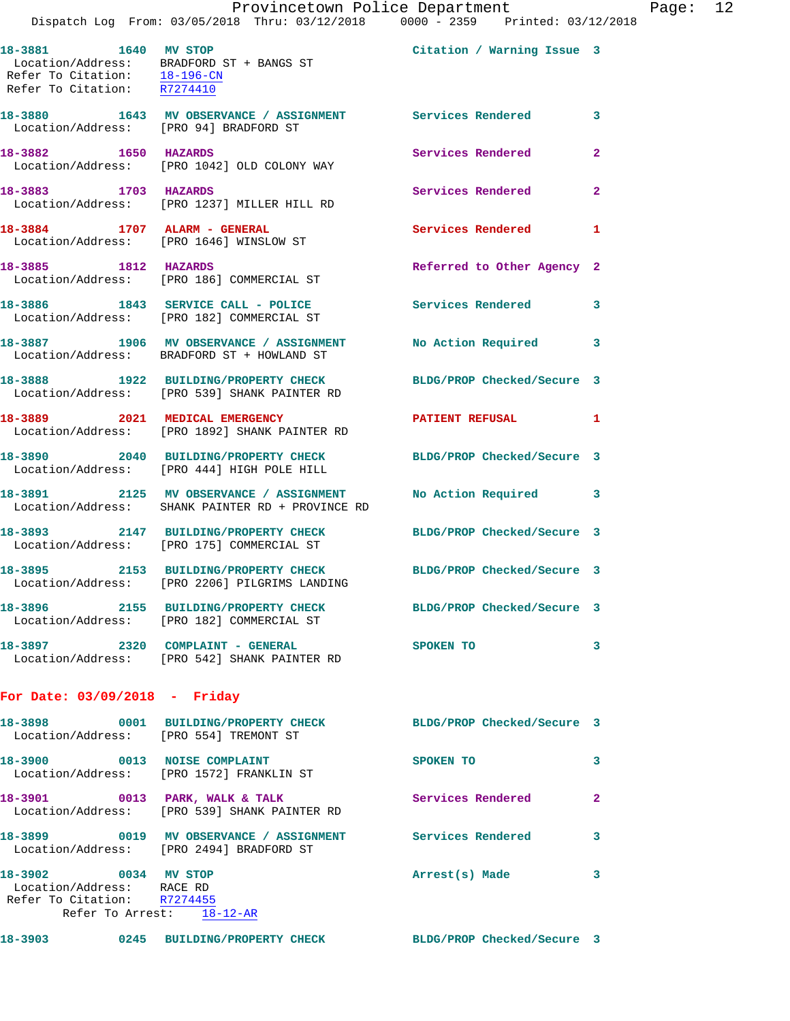|                                                                                                               | Provincetown Police Department                                                                                   |                            |                |
|---------------------------------------------------------------------------------------------------------------|------------------------------------------------------------------------------------------------------------------|----------------------------|----------------|
|                                                                                                               | Dispatch Log From: 03/05/2018 Thru: 03/12/2018 0000 - 2359 Printed: 03/12/2018                                   |                            |                |
| 18-3881 1640 MV STOP<br>Refer To Citation: R7274410                                                           | Location/Address: BRADFORD ST + BANGS ST<br>Refer To Citation: $18-196-CN$                                       | Citation / Warning Issue 3 |                |
| Location/Address: [PRO 94] BRADFORD ST                                                                        | 18-3880 1643 MV OBSERVANCE / ASSIGNMENT Services Rendered                                                        |                            | 3              |
| 18-3882 1650 HAZARDS                                                                                          | Location/Address: [PRO 1042] OLD COLONY WAY                                                                      | Services Rendered          | $\overline{a}$ |
| 18-3883 1703 HAZARDS                                                                                          | Location/Address: [PRO 1237] MILLER HILL RD                                                                      | Services Rendered          | $\mathbf{2}$   |
| 18-3884 1707 ALARM - GENERAL                                                                                  | Location/Address: [PRO 1646] WINSLOW ST                                                                          | Services Rendered          | 1              |
| 18-3885 1812 HAZARDS                                                                                          | Location/Address: [PRO 186] COMMERCIAL ST                                                                        | Referred to Other Agency 2 |                |
|                                                                                                               | 18-3886 1843 SERVICE CALL - POLICE<br>Location/Address: [PRO 182] COMMERCIAL ST                                  | <b>Services Rendered</b>   | 3              |
|                                                                                                               | 18-3887 1906 MV OBSERVANCE / ASSIGNMENT No Action Required<br>Location/Address: BRADFORD ST + HOWLAND ST         |                            | 3              |
|                                                                                                               | 18-3888 1922 BUILDING/PROPERTY CHECK<br>Location/Address: [PRO 539] SHANK PAINTER RD                             | BLDG/PROP Checked/Secure 3 |                |
|                                                                                                               | 18-3889 2021 MEDICAL EMERGENCY<br>Location/Address: [PRO 1892] SHANK PAINTER RD                                  | PATIENT REFUSAL            | 1              |
|                                                                                                               | 18-3890 2040 BUILDING/PROPERTY CHECK<br>Location/Address: [PRO 444] HIGH POLE HILL                               | BLDG/PROP Checked/Secure 3 |                |
|                                                                                                               | 18-3891 2125 MV OBSERVANCE / ASSIGNMENT<br>Location/Address: SHANK PAINTER RD + PROVINCE RD                      | No Action Required         | 3              |
|                                                                                                               | 18-3893 2147 BUILDING/PROPERTY CHECK BLDG/PROP Checked/Secure 3<br>Location/Address: [PRO 175] COMMERCIAL ST     |                            |                |
|                                                                                                               | 18-3895 2153 BUILDING/PROPERTY CHECK BLDG/PROP Checked/Secure 3<br>Location/Address: [PRO 2206] PILGRIMS LANDING |                            |                |
|                                                                                                               | 18-3896 2155 BUILDING/PROPERTY CHECK BLDG/PROP Checked/Secure 3<br>Location/Address: [PRO 182] COMMERCIAL ST     |                            |                |
|                                                                                                               | 18-3897 2320 COMPLAINT - GENERAL<br>Location/Address: [PRO 542] SHANK PAINTER RD                                 | SPOKEN TO                  | 3              |
| For Date: $03/09/2018$ - Friday                                                                               |                                                                                                                  |                            |                |
| Location/Address: [PRO 554] TREMONT ST                                                                        | 18-3898 0001 BUILDING/PROPERTY CHECK BLDG/PROP Checked/Secure 3                                                  |                            |                |
|                                                                                                               | 18-3900 0013 NOISE COMPLAINT<br>Location/Address: [PRO 1572] FRANKLIN ST                                         | SPOKEN TO                  | 3              |
|                                                                                                               | 18-3901 0013 PARK, WALK & TALK<br>Location/Address: [PRO 539] SHANK PAINTER RD                                   | Services Rendered          | $\mathbf{2}$   |
|                                                                                                               | Location/Address: [PRO 2494] BRADFORD ST                                                                         |                            | 3              |
| 18-3902 0034 MV STOP<br>Location/Address: RACE RD<br>Refer To Citation: R7274455<br>Refer To Arrest: 18-12-AR |                                                                                                                  | Arrest(s) Made             | 3              |
|                                                                                                               |                                                                                                                  |                            |                |

**18-3903 0245 BUILDING/PROPERTY CHECK BLDG/PROP Checked/Secure 3** 

Page:  $12$ <br>2018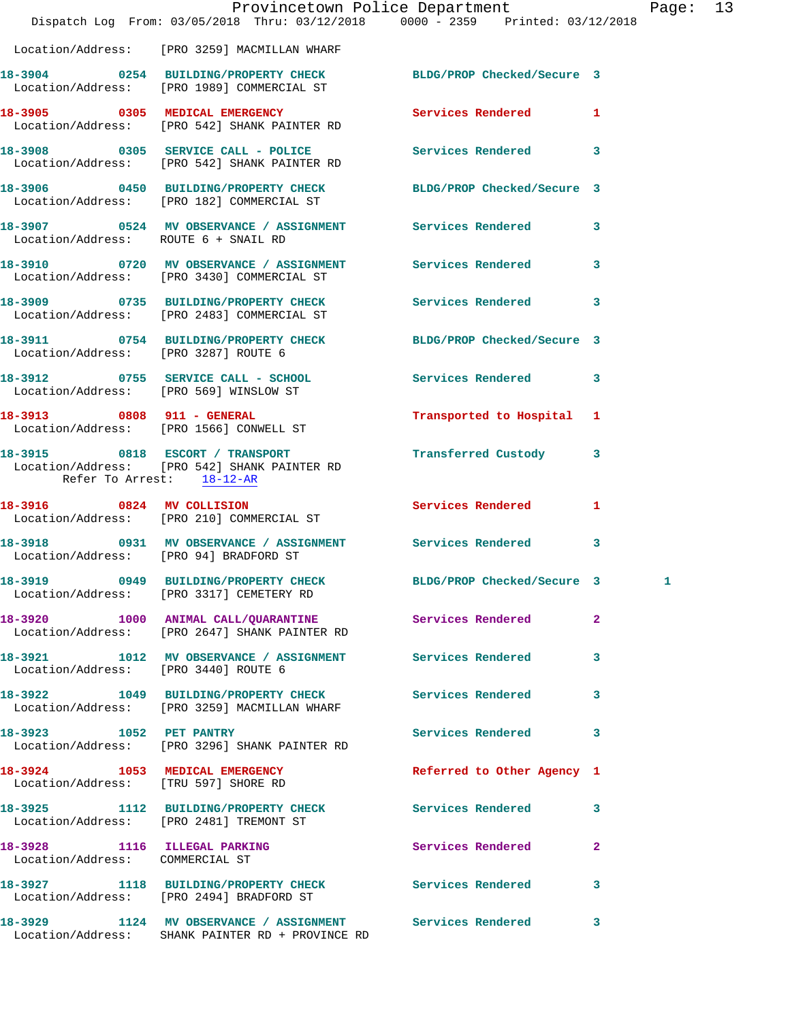|                                        | Provincetown Police Department<br>Dispatch Log From: 03/05/2018 Thru: 03/12/2018 0000 - 2359 Printed: 03/12/2018 |                            |                | Pag |
|----------------------------------------|------------------------------------------------------------------------------------------------------------------|----------------------------|----------------|-----|
|                                        | Location/Address: [PRO 3259] MACMILLAN WHARF                                                                     |                            |                |     |
|                                        | 18-3904 0254 BUILDING/PROPERTY CHECK BLDG/PROP Checked/Secure 3<br>Location/Address: [PRO 1989] COMMERCIAL ST    |                            |                |     |
|                                        | 18-3905 0305 MEDICAL EMERGENCY Services Rendered<br>Location/Address: [PRO 542] SHANK PAINTER RD                 |                            | 1              |     |
|                                        | 18-3908 0305 SERVICE CALL - POLICE Services Rendered 3<br>Location/Address: [PRO 542] SHANK PAINTER RD           |                            |                |     |
|                                        | 18-3906 0450 BUILDING/PROPERTY CHECK BLDG/PROP Checked/Secure 3<br>Location/Address: [PRO 182] COMMERCIAL ST     |                            |                |     |
|                                        | 18-3907 0524 MV OBSERVANCE / ASSIGNMENT Services Rendered<br>Location/Address: ROUTE 6 + SNAIL RD                |                            | 3              |     |
|                                        | 18-3910 0720 MV OBSERVANCE / ASSIGNMENT Services Rendered<br>Location/Address: [PRO 3430] COMMERCIAL ST          |                            | 3              |     |
|                                        | 18-3909 0735 BUILDING/PROPERTY CHECK Services Rendered<br>Location/Address: [PRO 2483] COMMERCIAL ST             |                            | 3              |     |
| Location/Address: [PRO 3287] ROUTE 6   | 18-3911 0754 BUILDING/PROPERTY CHECK BLDG/PROP Checked/Secure 3                                                  |                            |                |     |
|                                        | 18-3912 0755 SERVICE CALL - SCHOOL Services Rendered<br>Location/Address: [PRO 569] WINSLOW ST                   |                            | 3              |     |
|                                        | 18-3913 0808 911 - GENERAL<br>Location/Address: [PRO 1566] CONWELL ST                                            | Transported to Hospital 1  |                |     |
| Refer To Arrest: 18-12-AR              | 18-3915 0818 ESCORT / TRANSPORT <b>Transferred Custody</b><br>Location/Address: [PRO 542] SHANK PAINTER RD       |                            | 3              |     |
|                                        | 18-3916 0824 MV COLLISION<br>Location/Address: [PRO 210] COMMERCIAL ST                                           | Services Rendered          | 1              |     |
| Location/Address: [PRO 94] BRADFORD ST | 18-3918 		 0931 MV OBSERVANCE / ASSIGNMENT Services Rendered                                                     |                            | $\mathbf{3}$   |     |
|                                        | 18-3919 0949 BUILDING/PROPERTY CHECK<br>Location/Address: [PRO 3317] CEMETERY RD                                 | BLDG/PROP Checked/Secure 3 |                |     |
|                                        | 18-3920 1000 ANIMAL CALL/QUARANTINE Services Rendered<br>Location/Address: [PRO 2647] SHANK PAINTER RD           |                            | $\overline{a}$ |     |
| Location/Address: [PRO 3440] ROUTE 6   | 18-3921 1012 MV OBSERVANCE / ASSIGNMENT Services Rendered                                                        |                            | 3              |     |
|                                        | 18-3922 1049 BUILDING/PROPERTY CHECK Services Rendered<br>Location/Address: [PRO 3259] MACMILLAN WHARF           |                            | 3              |     |
| 18-3923 1052 PET PANTRY                | Location/Address: [PRO 3296] SHANK PAINTER RD                                                                    | <b>Services Rendered</b>   | 3              |     |
| Location/Address: [TRU 597] SHORE RD   | 18-3924 1053 MEDICAL EMERGENCY                                                                                   | Referred to Other Agency 1 |                |     |
|                                        | 18-3925 1112 BUILDING/PROPERTY CHECK Services Rendered<br>Location/Address: [PRO 2481] TREMONT ST                |                            | 3              |     |
| Location/Address: COMMERCIAL ST        | 18-3928 1116 ILLEGAL PARKING                                                                                     | Services Rendered          | $\mathbf{2}$   |     |
|                                        | 18-3927 1118 BUILDING/PROPERTY CHECK Services Rendered<br>Location/Address: [PRO 2494] BRADFORD ST               |                            | 3              |     |
|                                        | 18-3929 1124 MV OBSERVANCE / ASSIGNMENT Services Rendered<br>Location/Address: SHANK PAINTER RD + PROVINCE RD    |                            | 3              |     |

Page: 13<br>18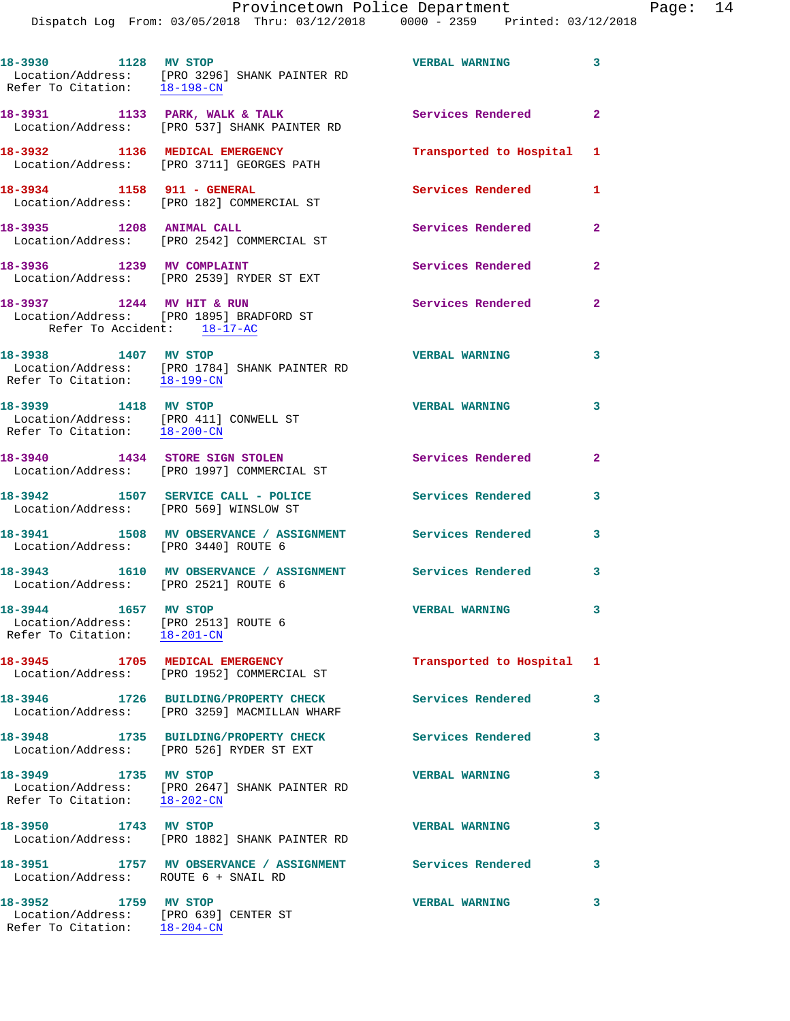**18-3930 1128 MV STOP VERBAL WARNING 3**  Location/Address: [PRO 3296] SHANK PAINTER RD Refer To Citation: 18-198-CN 18-3931 1133 PARK, WALK & TALK **Services Rendered** 2 Location/Address: [PRO 537] SHANK PAINTER RD **18-3932 1136 MEDICAL EMERGENCY Transported to Hospital 1**  Location/Address: [PRO 3711] GEORGES PATH **18-3934 1158 911 - GENERAL Services Rendered 1**  Location/Address: [PRO 182] COMMERCIAL ST **18-3935 1208 ANIMAL CALL Services Rendered 2**  Location/Address: [PRO 2542] COMMERCIAL ST 18-3936 1239 MV COMPLAINT **18-3936** Services Rendered 2 Location/Address: [PRO 2539] RYDER ST EXT **18-3937 1244 MV HIT & RUN Services Rendered 2**  Location/Address: [PRO 1895] BRADFORD ST Refer To Accident: 18-17-AC **18-3938 1407 MV STOP VERBAL WARNING 3**  Location/Address: [PRO 1784] SHANK PAINTER RD Refer To Citation: 18-199-CN **18-3939 1418 MV STOP VERBAL WARNING 3**  Location/Address: [PRO 411] CONWELL ST Refer To Citation: 18-200-CN **18-3940 1434 STORE SIGN STOLEN Services Rendered 2**  Location/Address: [PRO 1997] COMMERCIAL ST **18-3942 1507 SERVICE CALL - POLICE Services Rendered 3**  Location/Address: [PRO 569] WINSLOW ST **18-3941 1508 MV OBSERVANCE / ASSIGNMENT Services Rendered 3**  Location/Address: [PRO 3440] ROUTE 6 **18-3943 1610 MV OBSERVANCE / ASSIGNMENT Services Rendered 3**  Location/Address: [PRO 2521] ROUTE 6 **18-3944 1657 MV STOP VERBAL WARNING 3**  Location/Address: [PRO 2513] ROUTE 6 Refer To Citation: 18-201-CN **18-3945 1705 MEDICAL EMERGENCY Transported to Hospital 1**  Location/Address: [PRO 1952] COMMERCIAL ST **18-3946 1726 BUILDING/PROPERTY CHECK Services Rendered 3**  Location/Address: [PRO 3259] MACMILLAN WHARF **18-3948 1735 BUILDING/PROPERTY CHECK Services Rendered 3**  Location/Address: [PRO 526] RYDER ST EXT **18-3949 1735 MV STOP VERBAL WARNING 3**  Location/Address: [PRO 2647] SHANK PAINTER RD Refer To Citation: 18-202-CN **18-3950 1743 MV STOP VERBAL WARNING 3**  Location/Address: [PRO 1882] SHANK PAINTER RD **18-3951 1757 MV OBSERVANCE / ASSIGNMENT Services Rendered 3**  Location/Address: ROUTE 6 + SNAIL RD **18-3952 1759 MV STOP VERBAL WARNING 3**  Location/Address: [PRO 639] CENTER ST Refer To Citation: 18-204-CN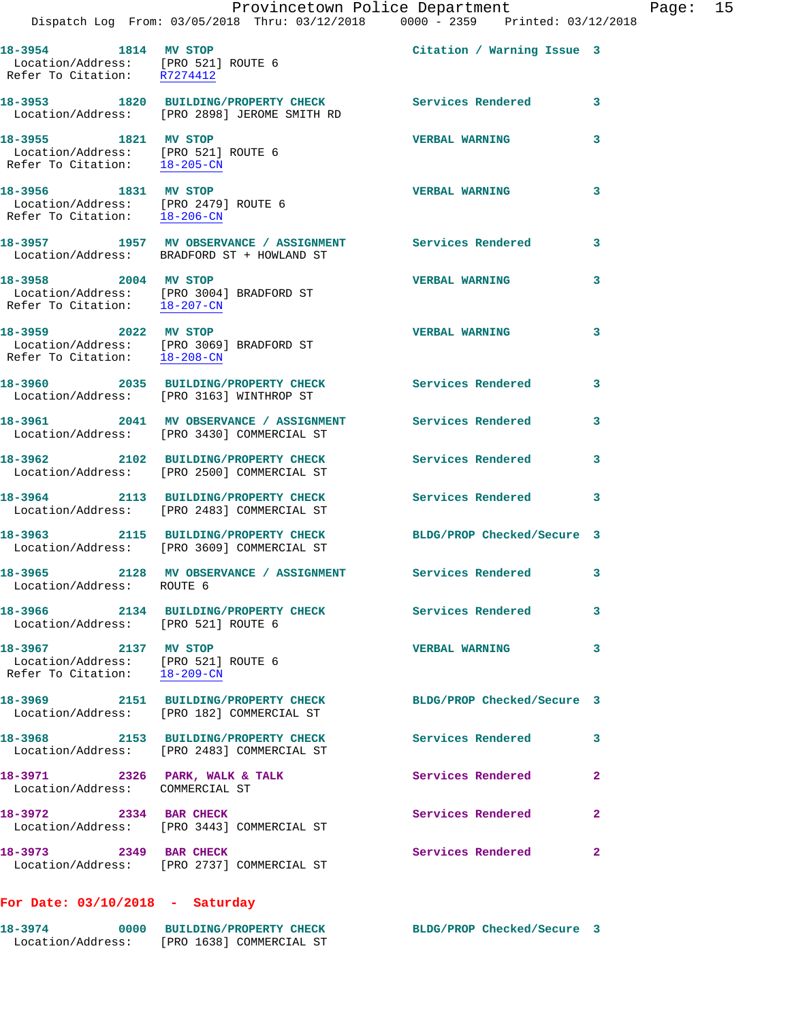|                                                                                              | Provincetown Police Department<br>Dispatch Log From: 03/05/2018 Thru: 03/12/2018 0000 - 2359 Printed: 03/12/2018 |                            |                         |
|----------------------------------------------------------------------------------------------|------------------------------------------------------------------------------------------------------------------|----------------------------|-------------------------|
| 18-3954 1814 MV STOP<br>Location/Address: [PRO 521] ROUTE 6<br>Refer To Citation: R7274412   |                                                                                                                  | Citation / Warning Issue 3 |                         |
|                                                                                              | 18-3953 1820 BUILDING/PROPERTY CHECK<br>Location/Address: [PRO 2898] JEROME SMITH RD                             | Services Rendered          | 3                       |
| 18-3955 1821 MV STOP<br>Location/Address: [PRO 521] ROUTE 6<br>Refer To Citation: 18-205-CN  |                                                                                                                  | <b>VERBAL WARNING</b>      | 3                       |
| 18-3956 1831 MV STOP<br>Location/Address: [PRO 2479] ROUTE 6<br>Refer To Citation: 18-206-CN |                                                                                                                  | <b>VERBAL WARNING</b>      | 3                       |
|                                                                                              |                                                                                                                  |                            | 3                       |
| 18-3958 2004 MV STOP<br>Refer To Citation: 18-207-CN                                         | Location/Address: [PRO 3004] BRADFORD ST                                                                         | <b>VERBAL WARNING</b>      | 3                       |
| 18-3959 2022 MV STOP                                                                         | Location/Address: [PRO 3069] BRADFORD ST<br>Refer To Citation: $\frac{18-208-CN}{18-208-CN}$                     | <b>VERBAL WARNING</b>      | 3                       |
|                                                                                              | 18-3960 2035 BUILDING/PROPERTY CHECK<br>Location/Address: [PRO 3163] WINTHROP ST                                 | Services Rendered          | 3                       |
|                                                                                              | 18-3961 2041 MV OBSERVANCE / ASSIGNMENT Services Rendered<br>Location/Address: [PRO 3430] COMMERCIAL ST          |                            | 3                       |
|                                                                                              | 18-3962 2102 BUILDING/PROPERTY CHECK<br>Location/Address: [PRO 2500] COMMERCIAL ST                               | Services Rendered          | 3                       |
|                                                                                              | 18-3964 2113 BUILDING/PROPERTY CHECK<br>Location/Address: [PRO 2483] COMMERCIAL ST                               | <b>Services Rendered</b>   | 3                       |
|                                                                                              | 18-3963 2115 BUILDING/PROPERTY CHECK<br>Location/Address: [PRO 3609] COMMERCIAL ST                               | BLDG/PROP Checked/Secure 3 |                         |
| Location/Address: ROUTE 6                                                                    | 18-3965 2128 MV OBSERVANCE / ASSIGNMENT                                                                          | Services Rendered 3        |                         |
| Location/Address: [PRO 521] ROUTE 6                                                          | 18-3966 2134 BUILDING/PROPERTY CHECK                                                                             | <b>Services Rendered</b>   | 3                       |
| 18-3967 2137 MV STOP<br>Location/Address: [PRO 521] ROUTE 6<br>Refer To Citation: 18-209-CN  |                                                                                                                  | <b>VERBAL WARNING</b>      | 3                       |
|                                                                                              | 18-3969 2151 BUILDING/PROPERTY CHECK<br>Location/Address: [PRO 182] COMMERCIAL ST                                | BLDG/PROP Checked/Secure 3 |                         |
|                                                                                              | 18-3968 2153 BUILDING/PROPERTY CHECK<br>Location/Address: [PRO 2483] COMMERCIAL ST                               | <b>Services Rendered</b>   | 3                       |
| 18-3971 2326 PARK, WALK & TALK<br>Location/Address: COMMERCIAL ST                            |                                                                                                                  | Services Rendered          | $\mathbf{2}$            |
| 18-3972 2334 BAR CHECK                                                                       | Location/Address: [PRO 3443] COMMERCIAL ST                                                                       | Services Rendered          | $\overline{\mathbf{2}}$ |
| 18-3973 2349 BAR CHECK                                                                       | Location/Address: [PRO 2737] COMMERCIAL ST                                                                       | Services Rendered          | $\overline{\mathbf{2}}$ |

## **For Date: 03/10/2018 - Saturday**

| 18-3974           |  | 0000 BUILDING/PROPERTY CHECK | BLDG/PROP Checked/Secure 3 |  |
|-------------------|--|------------------------------|----------------------------|--|
| Location/Address: |  | [PRO 1638] COMMERCIAL ST     |                            |  |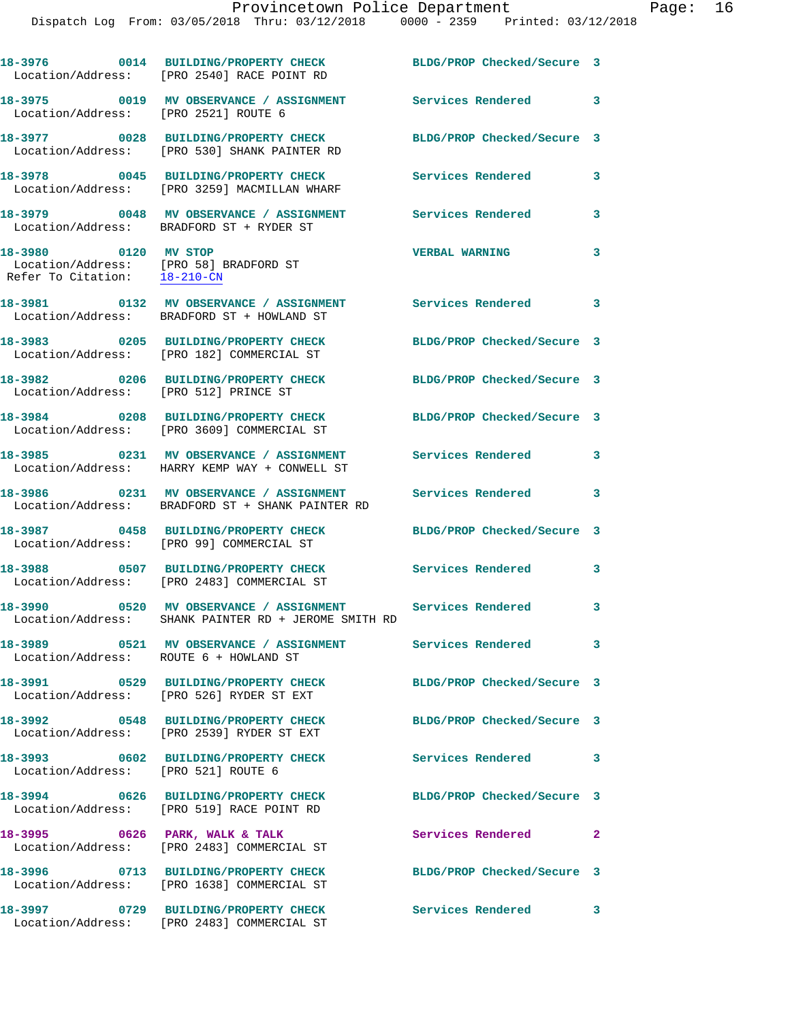|                                                                                                | 18-3976 0014 BUILDING/PROPERTY CHECK<br>Location/Address: [PRO 2540] RACE POINT RD                            | BLDG/PROP Checked/Secure 3 |                         |
|------------------------------------------------------------------------------------------------|---------------------------------------------------------------------------------------------------------------|----------------------------|-------------------------|
| Location/Address: [PRO 2521] ROUTE 6                                                           | 18-3975 0019 MV OBSERVANCE / ASSIGNMENT                                                                       | Services Rendered 3        |                         |
|                                                                                                | 18-3977 0028 BUILDING/PROPERTY CHECK<br>Location/Address: [PRO 530] SHANK PAINTER RD                          | BLDG/PROP Checked/Secure 3 |                         |
|                                                                                                | 18-3978 0045 BUILDING/PROPERTY CHECK<br>Location/Address: [PRO 3259] MACMILLAN WHARF                          | Services Rendered          | 3                       |
|                                                                                                | 18-3979 0048 MV OBSERVANCE / ASSIGNMENT<br>Location/Address: BRADFORD ST + RYDER ST                           | <b>Services Rendered</b>   | 3                       |
| 18-3980 0120 MV STOP<br>Location/Address: [PRO 58] BRADFORD ST<br>Refer To Citation: 18-210-CN |                                                                                                               | <b>VERBAL WARNING</b>      | 3                       |
|                                                                                                | 18-3981 0132 MV OBSERVANCE / ASSIGNMENT<br>Location/Address: BRADFORD ST + HOWLAND ST                         | Services Rendered 3        |                         |
|                                                                                                | 18-3983 0205 BUILDING/PROPERTY CHECK<br>Location/Address: [PRO 182] COMMERCIAL ST                             | BLDG/PROP Checked/Secure 3 |                         |
| Location/Address: [PRO 512] PRINCE ST                                                          | 18-3982 0206 BUILDING/PROPERTY CHECK                                                                          | BLDG/PROP Checked/Secure 3 |                         |
|                                                                                                | 18-3984 0208 BUILDING/PROPERTY CHECK<br>Location/Address: [PRO 3609] COMMERCIAL ST                            | BLDG/PROP Checked/Secure 3 |                         |
|                                                                                                | 18-3985 0231 MV OBSERVANCE / ASSIGNMENT<br>Location/Address: HARRY KEMP WAY + CONWELL ST                      | <b>Services Rendered</b>   | 3                       |
|                                                                                                | 18-3986 0231 MV OBSERVANCE / ASSIGNMENT<br>Location/Address: BRADFORD ST + SHANK PAINTER RD                   | Services Rendered          | 3                       |
|                                                                                                | 18-3987 0458 BUILDING/PROPERTY CHECK<br>Location/Address: [PRO 99] COMMERCIAL ST                              | BLDG/PROP Checked/Secure 3 |                         |
|                                                                                                | 18-3988 0507 BUILDING/PROPERTY CHECK<br>Location/Address: [PRO 2483] COMMERCIAL ST                            | <b>Services Rendered</b>   | 3                       |
| 18-3990                                                                                        | 0520 MV OBSERVANCE / ASSIGNMENT Services Rendered<br>Location/Address: SHANK PAINTER RD + JEROME SMITH RD     |                            | 3                       |
| Location/Address: ROUTE 6 + HOWLAND ST                                                         | 18-3989                0521     MV  OBSERVANCE  /  ASSIGNMENT                  Services  Rendered             |                            | $\overline{\mathbf{3}}$ |
|                                                                                                | 18-3991 0529 BUILDING/PROPERTY CHECK<br>Location/Address: [PRO 526] RYDER ST EXT                              | BLDG/PROP Checked/Secure 3 |                         |
|                                                                                                | 18-3992 0548 BUILDING/PROPERTY CHECK<br>Location/Address: [PRO 2539] RYDER ST EXT                             | BLDG/PROP Checked/Secure 3 |                         |
| Location/Address: [PRO 521] ROUTE 6                                                            | 18-3993 0602 BUILDING/PROPERTY CHECK                                                                          | <b>Services Rendered</b> 3 |                         |
|                                                                                                | 18-3994 0626 BUILDING/PROPERTY CHECK<br>Location/Address: [PRO 519] RACE POINT RD                             | BLDG/PROP Checked/Secure 3 |                         |
|                                                                                                | 18-3995 0626 PARK, WALK & TALK<br>Location/Address: [PRO 2483] COMMERCIAL ST                                  | <b>Services Rendered</b> 2 |                         |
|                                                                                                | 18-3996 0713 BUILDING/PROPERTY CHECK BLDG/PROP Checked/Secure 3<br>Location/Address: [PRO 1638] COMMERCIAL ST |                            |                         |
| 18-3997                                                                                        | 0729 BUILDING/PROPERTY CHECK                                                                                  | Services Rendered 3        |                         |

Location/Address: [PRO 2483] COMMERCIAL ST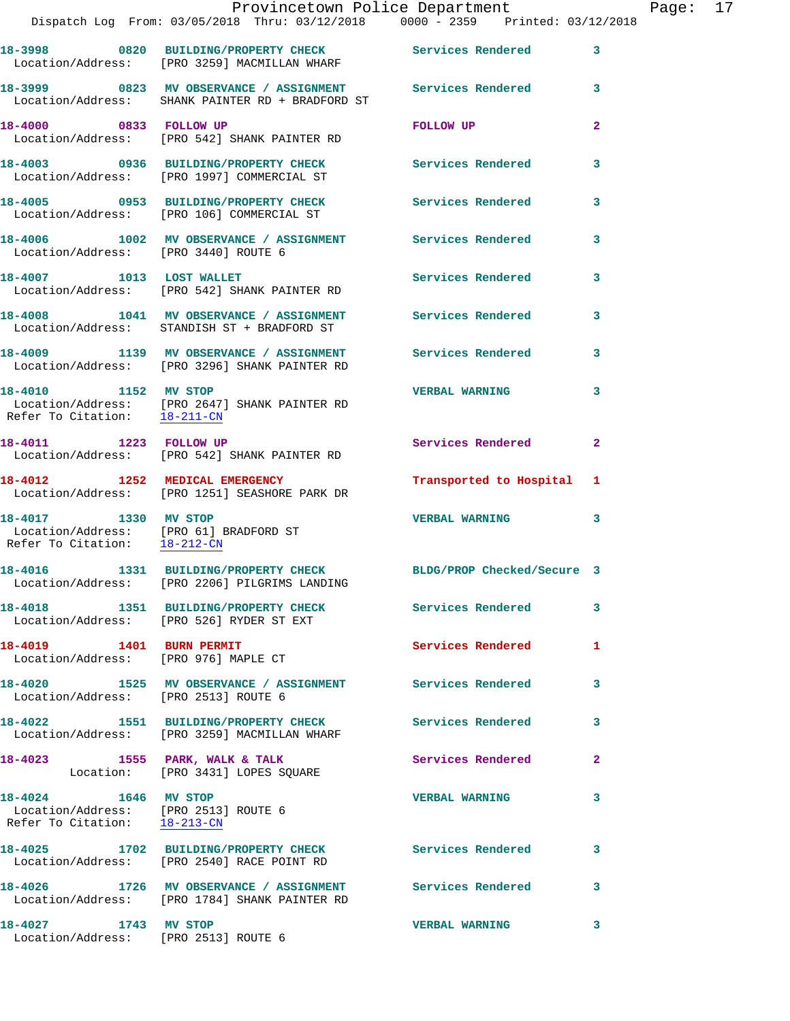|                                                                                                | Provincetown Police Department<br>Dispatch Log From: 03/05/2018 Thru: 03/12/2018 0000 - 2359 Printed: 03/12/2018 |                            |              |
|------------------------------------------------------------------------------------------------|------------------------------------------------------------------------------------------------------------------|----------------------------|--------------|
|                                                                                                | 18-3998 0820 BUILDING/PROPERTY CHECK Services Rendered<br>Location/Address: [PRO 3259] MACMILLAN WHARF           |                            | 3            |
|                                                                                                |                                                                                                                  |                            | 3            |
| 18-4000 0833 FOLLOW UP                                                                         | Location/Address: [PRO 542] SHANK PAINTER RD                                                                     | FOLLOW UP                  | $\mathbf{2}$ |
|                                                                                                | 18-4003 0936 BUILDING/PROPERTY CHECK<br>Location/Address: [PRO 1997] COMMERCIAL ST                               | <b>Services Rendered</b>   | 3            |
|                                                                                                | 18-4005 0953 BUILDING/PROPERTY CHECK<br>Location/Address: [PRO 106] COMMERCIAL ST                                | Services Rendered          | 3            |
| Location/Address: [PRO 3440] ROUTE 6                                                           | 18-4006 1002 MV OBSERVANCE / ASSIGNMENT Services Rendered                                                        |                            | 3            |
|                                                                                                | 18-4007 1013 LOST WALLET<br>Location/Address: [PRO 542] SHANK PAINTER RD                                         | Services Rendered          | 3            |
|                                                                                                | 18-4008 1041 MV OBSERVANCE / ASSIGNMENT Services Rendered<br>Location/Address: STANDISH ST + BRADFORD ST         |                            | 3            |
|                                                                                                | 18-4009 1139 MV OBSERVANCE / ASSIGNMENT Services Rendered<br>Location/Address: [PRO 3296] SHANK PAINTER RD       |                            | 3            |
| 18-4010 1152 MV STOP<br>Refer To Citation: 18-211-CN                                           | Location/Address: [PRO 2647] SHANK PAINTER RD                                                                    | <b>VERBAL WARNING</b>      | 3            |
| 18-4011 1223 FOLLOW UP                                                                         | Location/Address: [PRO 542] SHANK PAINTER RD                                                                     | Services Rendered          | $\mathbf{2}$ |
|                                                                                                | 18-4012 1252 MEDICAL EMERGENCY<br>Location/Address: [PRO 1251] SEASHORE PARK DR                                  | Transported to Hospital    | 1            |
| 18-4017 1330 MV STOP<br>Location/Address: [PRO 61] BRADFORD ST<br>Refer To Citation: 18-212-CN |                                                                                                                  | <b>VERBAL WARNING</b>      | 3            |
| 18-4016                                                                                        | 1331 BUILDING/PROPERTY CHECK<br>Location/Address: [PRO 2206] PILGRIMS LANDING                                    | BLDG/PROP Checked/Secure 3 |              |
|                                                                                                | 18-4018 1351 BUILDING/PROPERTY CHECK<br>Location/Address: [PRO 526] RYDER ST EXT                                 | Services Rendered          | 3            |
| 18-4019 1401 BURN PERMIT<br>Location/Address: [PRO 976] MAPLE CT                               |                                                                                                                  | <b>Services Rendered</b>   | 1            |
| Location/Address: [PRO 2513] ROUTE 6                                                           | 18-4020 1525 MV OBSERVANCE / ASSIGNMENT Services Rendered                                                        |                            | 3            |
|                                                                                                | 18-4022 1551 BUILDING/PROPERTY CHECK<br>Location/Address: [PRO 3259] MACMILLAN WHARF                             | <b>Services Rendered</b>   | 3            |
| 18-4023                                                                                        | 1555 PARK, WALK & TALK<br>Location: [PRO 3431] LOPES SQUARE                                                      | Services Rendered          | 2            |
| 18-4024 1646 MV STOP<br>Location/Address: [PRO 2513] ROUTE 6<br>Refer To Citation: 18-213-CN   |                                                                                                                  | <b>VERBAL WARNING</b>      | 3            |

 Location/Address: [PRO 2540] RACE POINT RD **18-4026 1726 MV OBSERVANCE / ASSIGNMENT Services Rendered 3**  Location/Address: [PRO 1784] SHANK PAINTER RD **18-4027 1743 MV STOP VERBAL WARNING 3** 

**18-4025 1702 BUILDING/PROPERTY CHECK Services Rendered 3** 

Location/Address: [PRO 2513] ROUTE 6

Page: 17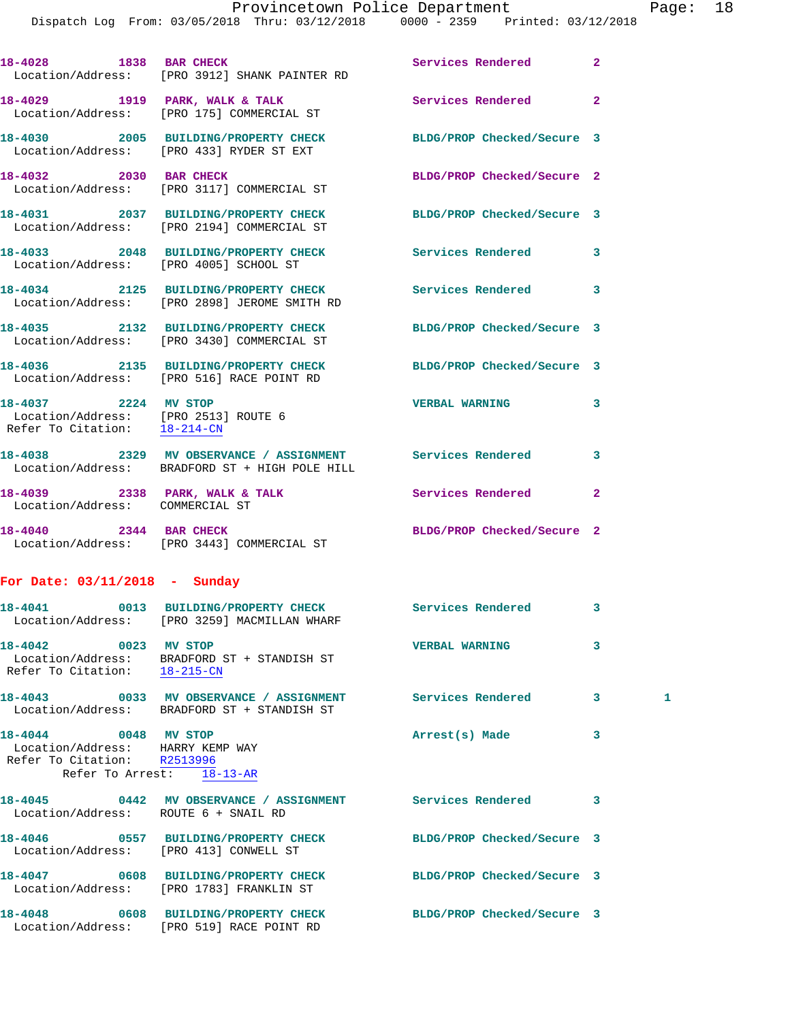| 18-4028 1838 BAR CHECK                                                                       | Location/Address: [PRO 3912] SHANK PAINTER RD                                                               | Services Rendered          | $\mathbf{2}$   |   |
|----------------------------------------------------------------------------------------------|-------------------------------------------------------------------------------------------------------------|----------------------------|----------------|---|
|                                                                                              | 18-4029 1919 PARK, WALK & TALK<br>Location/Address: [PRO 175] COMMERCIAL ST                                 | Services Rendered          | $\overline{a}$ |   |
|                                                                                              | 18-4030 2005 BUILDING/PROPERTY CHECK BLDG/PROP Checked/Secure 3<br>Location/Address: [PRO 433] RYDER ST EXT |                            |                |   |
| 18-4032 2030 BAR CHECK                                                                       | Location/Address: [PRO 3117] COMMERCIAL ST                                                                  | BLDG/PROP Checked/Secure 2 |                |   |
|                                                                                              | 18-4031 2037 BUILDING/PROPERTY CHECK<br>Location/Address: [PRO 2194] COMMERCIAL ST                          | BLDG/PROP Checked/Secure 3 |                |   |
|                                                                                              | 18-4033 2048 BUILDING/PROPERTY CHECK<br>Location/Address: [PRO 4005] SCHOOL ST                              | Services Rendered          | 3              |   |
|                                                                                              | 18-4034 2125 BUILDING/PROPERTY CHECK<br>Location/Address: [PRO 2898] JEROME SMITH RD                        | Services Rendered          | 3              |   |
|                                                                                              | 18-4035 2132 BUILDING/PROPERTY CHECK<br>Location/Address: [PRO 3430] COMMERCIAL ST                          | BLDG/PROP Checked/Secure 3 |                |   |
|                                                                                              | 18-4036 2135 BUILDING/PROPERTY CHECK<br>Location/Address: [PRO 516] RACE POINT RD                           | BLDG/PROP Checked/Secure 3 |                |   |
| 18-4037 2224 MV STOP<br>Location/Address: [PRO 2513] ROUTE 6<br>Refer To Citation: 18-214-CN |                                                                                                             | <b>VERBAL WARNING</b>      | 3              |   |
|                                                                                              | 18-4038 2329 MV OBSERVANCE / ASSIGNMENT Services Rendered<br>Location/Address: BRADFORD ST + HIGH POLE HILL |                            | 3              |   |
| Location/Address: COMMERCIAL ST                                                              | 18-4039 2338 PARK, WALK & TALK                                                                              | <b>Services Rendered</b>   | $\mathbf{2}$   |   |
| 18-4040 2344 BAR CHECK                                                                       | Location/Address: [PRO 3443] COMMERCIAL ST                                                                  | BLDG/PROP Checked/Secure 2 |                |   |
| For Date: $03/11/2018$ - Sunday                                                              |                                                                                                             |                            |                |   |
|                                                                                              | 18-4041 0013 BUILDING/PROPERTY CHECK Services Rendered<br>Location/Address: [PRO 3259] MACMILLAN WHARF      |                            | 3              |   |
| 0023 MV STOP<br>18-4042                                                                      | Location/Address: BRADFORD ST + STANDISH ST<br>Refer To Citation: 18-215-CN                                 | <b>VERBAL WARNING</b>      | 3              |   |
|                                                                                              | Location/Address: BRADFORD ST + STANDISH ST                                                                 |                            | 3              | 1 |
| 18-4044 0048 MV STOP<br>Location/Address: HARRY KEMP WAY<br>Refer To Citation: R2513996      | Refer To Arrest: 18-13-AR                                                                                   | Arrest(s) Made             | 3              |   |
| Location/Address: ROUTE 6 + SNAIL RD                                                         | 18-4045 0442 MV OBSERVANCE / ASSIGNMENT Services Rendered                                                   |                            | 3              |   |
| Location/Address: [PRO 413] CONWELL ST                                                       | 18-4046 0557 BUILDING/PROPERTY CHECK                                                                        | BLDG/PROP Checked/Secure 3 |                |   |
|                                                                                              | 18-4047 0608 BUILDING/PROPERTY CHECK<br>Location/Address: [PRO 1783] FRANKLIN ST                            | BLDG/PROP Checked/Secure 3 |                |   |
|                                                                                              | 18-4048 0608 BUILDING/PROPERTY CHECK<br>Location/Address: [PRO 519] RACE POINT RD                           | BLDG/PROP Checked/Secure 3 |                |   |
|                                                                                              |                                                                                                             |                            |                |   |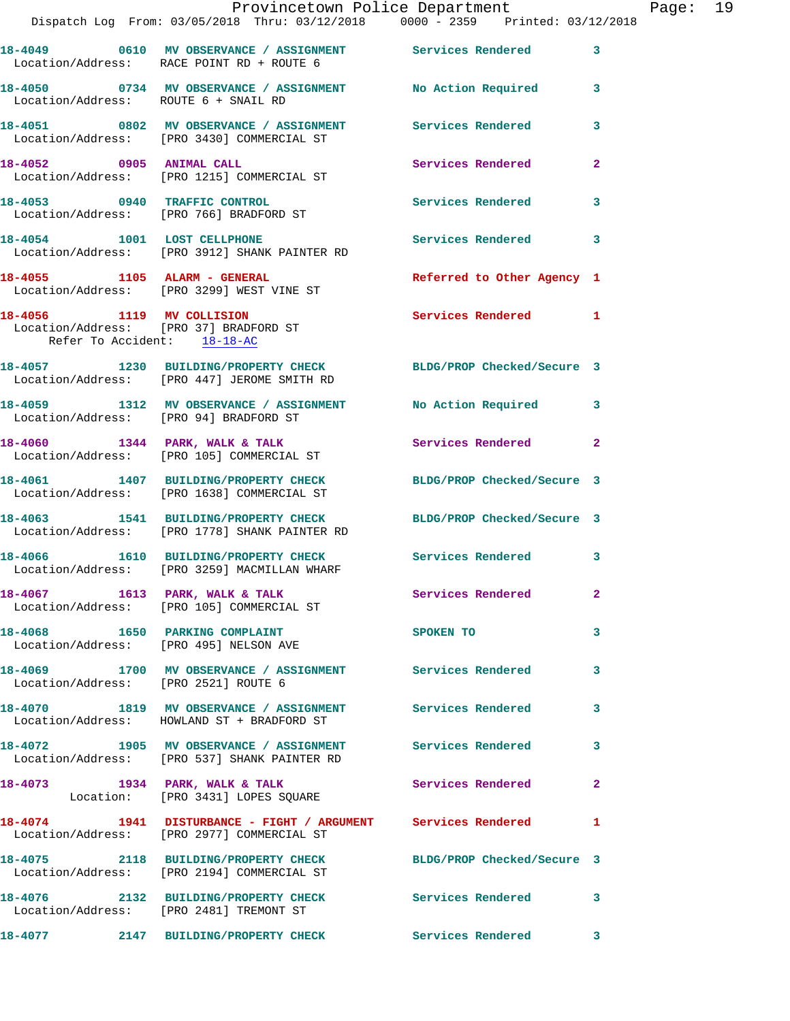|                                      | Provincetown Police Department<br>Dispatch Log From: 03/05/2018 Thru: 03/12/2018 0000 - 2359 Printed: 03/12/2018 |                            | Page: 19                |
|--------------------------------------|------------------------------------------------------------------------------------------------------------------|----------------------------|-------------------------|
|                                      |                                                                                                                  |                            |                         |
|                                      | 18-4049 0610 MV OBSERVANCE / ASSIGNMENT Services Rendered 3<br>Location/Address: RACE POINT RD + ROUTE 6         |                            |                         |
|                                      | 18-4050 0734 MV OBSERVANCE / ASSIGNMENT No Action Required 3<br>Location/Address: ROUTE 6 + SNAIL RD             |                            |                         |
|                                      | 18-4051 0802 MV OBSERVANCE / ASSIGNMENT Services Rendered 3<br>Location/Address: [PRO 3430] COMMERCIAL ST        |                            |                         |
|                                      | 18-4052 0905 ANIMAL CALL<br>Location/Address: [PRO 1215] COMMERCIAL ST                                           | Services Rendered          | $\mathbf{2}$            |
|                                      | 18-4053 0940 TRAFFIC CONTROL<br>Location/Address: [PRO 766] BRADFORD ST                                          | Services Rendered 3        |                         |
|                                      | 18-4054 1001 LOST CELLPHONE<br>Location/Address: [PRO 3912] SHANK PAINTER RD                                     | Services Rendered 3        |                         |
|                                      | 18-4055 1105 ALARM - GENERAL<br>Location/Address: [PRO 3299] WEST VINE ST                                        | Referred to Other Agency 1 |                         |
| Refer To Accident: 18-18-AC          | 18-4056 1119 MV COLLISION<br>Location/Address: [PRO 37] BRADFORD ST                                              | Services Rendered 1        |                         |
|                                      | 18-4057 1230 BUILDING/PROPERTY CHECK BLDG/PROP Checked/Secure 3<br>Location/Address: [PRO 447] JEROME SMITH RD   |                            |                         |
|                                      | 18-4059 1312 MV OBSERVANCE / ASSIGNMENT No Action Required 3<br>Location/Address: [PRO 94] BRADFORD ST           |                            |                         |
|                                      | $18-4060$ 1344 PARK, WALK & TALK<br>Location/Address: [PRO 105] COMMERCIAL ST                                    | Services Rendered 2        |                         |
|                                      | 18-4061 1407 BUILDING/PROPERTY CHECK BLDG/PROP Checked/Secure 3<br>Location/Address: [PRO 1638] COMMERCIAL ST    |                            |                         |
|                                      | 18-4063 1541 BUILDING/PROPERTY CHECK BLDG/PROP Checked/Secure 3<br>Location/Address: [PRO 1778] SHANK PAINTER RD |                            |                         |
|                                      | 18-4066 1610 BUILDING/PROPERTY CHECK Services Rendered 3<br>Location/Address: [PRO 3259] MACMILLAN WHARF         |                            |                         |
|                                      | 18-4067 1613 PARK, WALK & TALK 1999 Services Rendered 2<br>Location/Address: [PRO 105] COMMERCIAL ST             |                            |                         |
|                                      | 18-4068 1650 PARKING COMPLAINT SPOKEN TO<br>Location/Address: [PRO 495] NELSON AVE                               |                            | $\overline{\mathbf{3}}$ |
| Location/Address: [PRO 2521] ROUTE 6 | 18-4069 1700 MV OBSERVANCE / ASSIGNMENT Services Rendered 3                                                      |                            |                         |
|                                      | 18-4070 1819 MV OBSERVANCE / ASSIGNMENT Services Rendered 3<br>Location/Address: HOWLAND ST + BRADFORD ST        |                            |                         |
|                                      | 18-4072 1905 MV OBSERVANCE / ASSIGNMENT Services Rendered 3<br>Location/Address: [PRO 537] SHANK PAINTER RD      |                            |                         |
|                                      | 18-4073 1934 PARK, WALK & TALK 1999 Services Rendered 2<br>Location: [PRO 3431] LOPES SQUARE                     |                            |                         |
|                                      | 18-4074 1941 DISTURBANCE - FIGHT / ARGUMENT Services Rendered 1<br>Location/Address: [PRO 2977] COMMERCIAL ST    |                            |                         |
|                                      | 18-4075 2118 BUILDING/PROPERTY CHECK BLDG/PROP Checked/Secure 3<br>Location/Address: [PRO 2194] COMMERCIAL ST    |                            |                         |
|                                      | 18-4076 2132 BUILDING/PROPERTY CHECK Services Rendered 3<br>Location/Address: [PRO 2481] TREMONT ST              |                            |                         |
| 18-4077                              | 2147 BUILDING/PROPERTY CHECK Services Rendered 3                                                                 |                            |                         |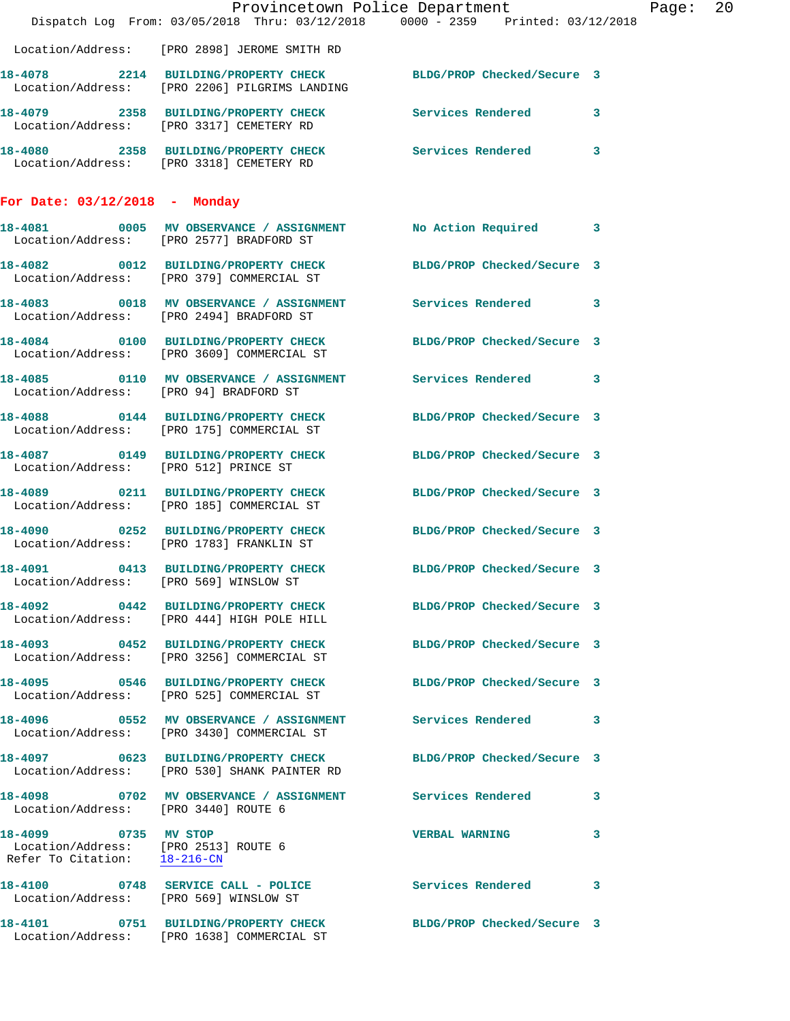|                                                                                              | Dispatch Log From: 03/05/2018 Thru: 03/12/2018 0000 - 2359 Printed: 03/12/2018                                                                                 | Provincetown Police Department | Page: 20 |
|----------------------------------------------------------------------------------------------|----------------------------------------------------------------------------------------------------------------------------------------------------------------|--------------------------------|----------|
|                                                                                              | Location/Address: [PRO 2898] JEROME SMITH RD                                                                                                                   |                                |          |
|                                                                                              | 18-4078 2214 BUILDING/PROPERTY CHECK BLDG/PROP Checked/Secure 3<br>Location/Address: [PRO 2206] PILGRIMS LANDING                                               |                                |          |
|                                                                                              | 18-4079 2358 BUILDING/PROPERTY CHECK Services Rendered 3<br>Location/Address: [PRO 3317] CEMETERY RD                                                           |                                |          |
|                                                                                              | 18-4080 2358 BUILDING/PROPERTY CHECK Services Rendered 3<br>Location/Address: [PRO 3318] CEMETERY RD                                                           |                                |          |
| For Date: $03/12/2018$ - Monday                                                              |                                                                                                                                                                |                                |          |
|                                                                                              | 18-4081 0005 MV OBSERVANCE / ASSIGNMENT No Action Required 3<br>Location/Address: [PRO 2577] BRADFORD ST                                                       |                                |          |
|                                                                                              | 18-4082 0012 BUILDING/PROPERTY CHECK BLDG/PROP Checked/Secure 3<br>Location/Address: [PRO 379] COMMERCIAL ST                                                   |                                |          |
|                                                                                              | 18-4083 0018 MV OBSERVANCE / ASSIGNMENT Services Rendered 3<br>Location/Address: [PRO 2494] BRADFORD ST                                                        |                                |          |
|                                                                                              | 18-4084 0100 BUILDING/PROPERTY CHECK BLDG/PROP Checked/Secure 3<br>Location/Address: [PRO 3609] COMMERCIAL ST                                                  |                                |          |
| Location/Address: [PRO 94] BRADFORD ST                                                       |                                                                                                                                                                |                                |          |
|                                                                                              | 18-4088 0144 BUILDING/PROPERTY CHECK BLDG/PROP Checked/Secure 3<br>Location/Address: [PRO 175] COMMERCIAL ST                                                   |                                |          |
| Location/Address: [PRO 512] PRINCE ST                                                        | 18-4087 0149 BUILDING/PROPERTY CHECK BLDG/PROP Checked/Secure 3                                                                                                |                                |          |
|                                                                                              | 18-4089 0211 BUILDING/PROPERTY CHECK BLDG/PROP Checked/Secure 3<br>Location/Address: [PRO 185] COMMERCIAL ST                                                   |                                |          |
|                                                                                              | 18-4090 0252 BUILDING/PROPERTY CHECK BLDG/PROP Checked/Secure 3<br>Location/Address: [PRO 1783] FRANKLIN ST                                                    |                                |          |
| 18-4091<br>Location/Address: [PRO 569] WINSLOW ST                                            | 0413 BUILDING/PROPERTY CHECK BLDG/PROP Checked/Secure 3                                                                                                        |                                |          |
|                                                                                              | 18-4092 0442 BUILDING/PROPERTY CHECK BLDG/PROP Checked/Secure 3<br>Location/Address: [PRO 444] HIGH POLE HILL                                                  |                                |          |
|                                                                                              | 18-4093  0452  BUILDING/PROPERTY CHECK  BLDG/PROP Checked/Secure 3<br>Location/Address: [PRO 3256] COMMERCIAL ST                                               |                                |          |
|                                                                                              | 18-4095 0546 BUILDING/PROPERTY CHECK BLDG/PROP Checked/Secure 3<br>Location/Address: [PRO 525] COMMERCIAL ST                                                   |                                |          |
|                                                                                              | 18-4096                0552    MV  OBSERVANCE  /  ASSIGNMENT                 Services  Rendered                3<br>Location/Address: [PRO 3430] COMMERCIAL ST |                                |          |
|                                                                                              | 18-4097 0623 BUILDING/PROPERTY CHECK BLDG/PROP Checked/Secure 3<br>Location/Address: [PRO 530] SHANK PAINTER RD                                                |                                |          |
| Location/Address: [PRO 3440] ROUTE 6                                                         | 18-4098 0702 MV OBSERVANCE / ASSIGNMENT Services Rendered 3                                                                                                    |                                |          |
| 18-4099 0735 MV STOP<br>Location/Address: [PRO 2513] ROUTE 6<br>Refer To Citation: 18-216-CN |                                                                                                                                                                | <b>VERBAL WARNING</b>          | 3        |
|                                                                                              | 18-4100 0748 SERVICE CALL - POLICE 3 Services Rendered 3<br>Location/Address: [PRO 569] WINSLOW ST                                                             |                                |          |
|                                                                                              | 18-4101 0751 BUILDING/PROPERTY CHECK BLDG/PROP Checked/Secure 3<br>Location/Address: [PRO 1638] COMMERCIAL ST                                                  |                                |          |
|                                                                                              |                                                                                                                                                                |                                |          |